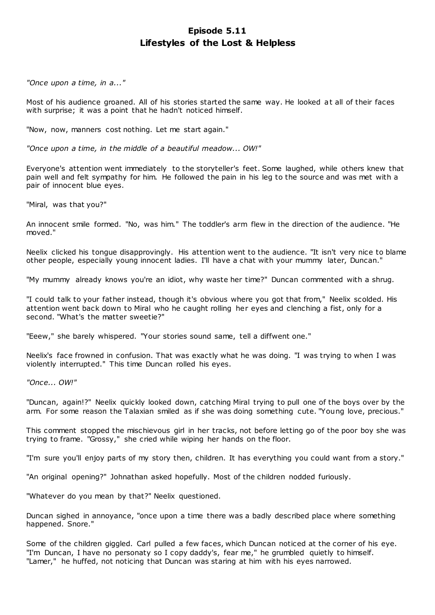# **Episode 5.11 Lifestyles of the Lost & Helpless**

*"Once upon a time, in a..."*

Most of his audience groaned. All of his stories started the same way. He looked at all of their faces with surprise; it was a point that he hadn't noticed himself.

"Now, now, manners cost nothing. Let me start again."

*"Once upon a time, in the middle of a beautiful meadow... OW!"*

Everyone's attention went immediately to the storyteller's feet. Some laughed, while others knew that pain well and felt sympathy for him. He followed the pain in his leg to the source and was met with a pair of innocent blue eyes.

"Miral, was that you?"

An innocent smile formed. "No, was him." The toddler's arm flew in the direction of the audience. "He moved."

Neelix clicked his tongue disapprovingly. His attention went to the audience. "It isn't very nice to blame other people, especially young innocent ladies. I'll have a chat with your mummy later, Duncan."

"My mummy already knows you're an idiot, why waste her time?" Duncan commented with a shrug.

"I could talk to your father instead, though it's obvious where you got that from," Neelix scolded. His attention went back down to Miral who he caught rolling her eyes and clenching a fist, only for a second. "What's the matter sweetie?"

"Eeew," she barely whispered. "Your stories sound same, tell a diffwent one."

Neelix's face frowned in confusion. That was exactly what he was doing. "I was trying to when I was violently interrupted." This time Duncan rolled his eyes.

*"Once... OW!"*

"Duncan, again!?" Neelix quickly looked down, catching Miral trying to pull one of the boys over by the arm. For some reason the Talaxian smiled as if she was doing something cute. "Young love, precious."

This comment stopped the mischievous girl in her tracks, not before letting go of the poor boy she was trying to frame. "Grossy," she cried while wiping her hands on the floor.

"I'm sure you'll enjoy parts of my story then, children. It has everything you could want from a story."

"An original opening?" Johnathan asked hopefully. Most of the children nodded furiously.

"Whatever do you mean by that?" Neelix questioned.

Duncan sighed in annoyance, "once upon a time there was a badly described place where something happened. Snore."

Some of the children giggled. Carl pulled a few faces, which Duncan noticed at the corner of his eye. "I'm Duncan, I have no personaty so I copy daddy's, fear me," he grumbled quietly to himself. "Lamer," he huffed, not noticing that Duncan was staring at him with his eyes narrowed.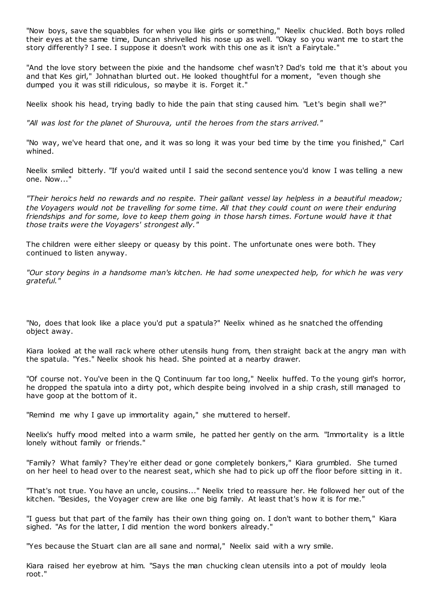"Now boys, save the squabbles for when you like girls or something," Neelix chuckled. Both boys rolled their eyes at the same time, Duncan shrivelled his nose up as well. "Okay so you want me to start the story differently? I see. I suppose it doesn't work with this one as it isn't a Fairytale."

"And the love story between the pixie and the handsome chef wasn't? Dad's told me that it's about you and that Kes girl," Johnathan blurted out. He looked thoughtful for a moment, "even though she dumped you it was still ridiculous, so maybe it is. Forget it."

Neelix shook his head, trying badly to hide the pain that sting caused him. "Let's begin shall we?"

*"All was lost for the planet of Shurouva, until the heroes from the stars arrived."*

"No way, we've heard that one, and it was so long it was your bed time by the time you finished," Carl whined.

Neelix smiled bitterly. "If you'd waited until I said the second sentence you'd know I was telling a new one. Now..."

*"Their heroics held no rewards and no respite. Their gallant vessel lay helpless in a beautiful meadow; the Voyagers would not be travelling for some time. All that they could count on were their enduring friendships and for some, love to keep them going in those harsh times. Fortune would have it that those traits were the Voyagers' strongest ally."*

The children were either sleepy or queasy by this point. The unfortunate ones were both. They continued to listen anyway.

*"Our story begins in a handsome man's kitchen. He had some unexpected help, for which he was very grateful."*

"No, does that look like a place you'd put a spatula?" Neelix whined as he snatched the offending object away.

Kiara looked at the wall rack where other utensils hung from, then straight back at the angry man with the spatula. "Yes." Neelix shook his head. She pointed at a nearby drawer.

"Of course not. You've been in the Q Continuum far too long," Neelix huffed. To the young girl's horror, he dropped the spatula into a dirty pot, which despite being involved in a ship crash, still managed to have goop at the bottom of it.

"Remind me why I gave up immortality again," she muttered to herself.

Neelix's huffy mood melted into a warm smile, he patted her gently on the arm. "Immortality is a little lonely without family or friends."

"Family? What family? They're either dead or gone completely bonkers," Kiara grumbled. She turned on her heel to head over to the nearest seat, which she had to pick up off the floor before sitting in it.

"That's not true. You have an uncle, cousins..." Neelix tried to reassure her. He followed her out of the kitchen. "Besides, the Voyager crew are like one big family. At least that's how it is for me."

"I guess but that part of the family has their own thing going on. I don't want to bother them," Kiara sighed. "As for the latter, I did mention the word bonkers already."

"Yes because the Stuart clan are all sane and normal," Neelix said with a wry smile.

Kiara raised her eyebrow at him. "Says the man chucking clean utensils into a pot of mouldy leola root."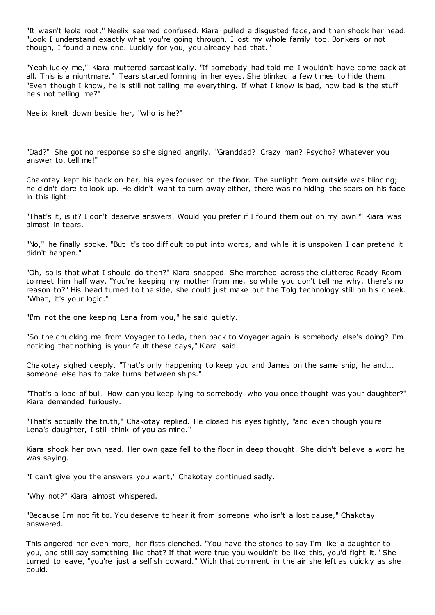"It wasn't leola root," Neelix seemed confused. Kiara pulled a disgusted face, and then shook her head. "Look I understand exactly what you're going through. I lost my whole family too. Bonkers or not though, I found a new one. Luckily for you, you already had that."

"Yeah lucky me," Kiara muttered sarcastically. "If somebody had told me I wouldn't have come back at all. This is a nightmare." Tears started forming in her eyes. She blinked a few times to hide them. "Even though I know, he is still not telling me everything. If what I know is bad, how bad is the stuff he's not telling me?"

Neelix knelt down beside her, "who is he?"

"Dad?" She got no response so she sighed angrily. "Granddad? Crazy man? Psycho? Whatever you answer to, tell me!"

Chakotay kept his back on her, his eyes focused on the floor. The sunlight from outside was blinding; he didn't dare to look up. He didn't want to turn away either, there was no hiding the scars on his face in this light.

"That's it, is it? I don't deserve answers. Would you prefer if I found them out on my own?" Kiara was almost in tears.

"No," he finally spoke. "But it's too difficult to put into words, and while it is unspoken I can pretend it didn't happen."

"Oh, so is that what I should do then?" Kiara snapped. She marched across the cluttered Ready Room to meet him half way. "You're keeping my mother from me, so while you don't tell me why, there's no reason to?" His head turned to the side, she could just make out the Tolg technology still on his cheek. "What, it's your logic."

"I'm not the one keeping Lena from you," he said quietly.

"So the chucking me from Voyager to Leda, then back to Voyager again is somebody else's doing? I'm noticing that nothing is your fault these days," Kiara said.

Chakotay sighed deeply. "That's only happening to keep you and James on the same ship, he and... someone else has to take turns between ships."

"That's a load of bull. How can you keep lying to somebody who you once thought was your daughter?" Kiara demanded furiously.

"That's actually the truth," Chakotay replied. He closed his eyes tightly, "and even though you're Lena's daughter, I still think of you as mine."

Kiara shook her own head. Her own gaze fell to the floor in deep thought. She didn't believe a word he was saying.

"I can't give you the answers you want," Chakotay continued sadly.

"Why not?" Kiara almost whispered.

"Because I'm not fit to. You deserve to hear it from someone who isn't a lost cause," Chakotay answered.

This angered her even more, her fists clenched. "You have the stones to say I'm like a daughter to you, and still say something like that? If that were true you wouldn't be like this, you'd fight it." She turned to leave, "you're just a selfish coward." With that comment in the air she left as quickly as she could.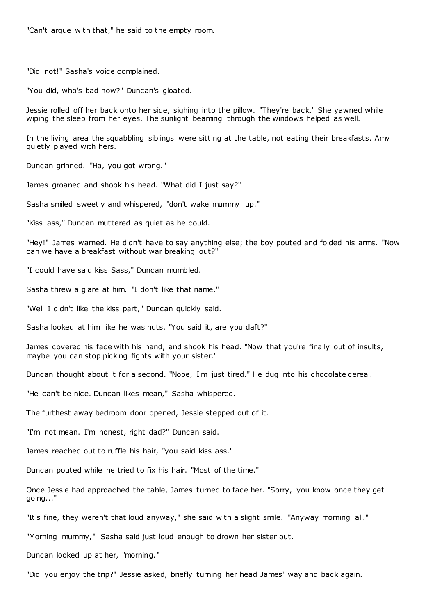"Can't argue with that," he said to the empty room.

"Did not!" Sasha's voice complained.

"You did, who's bad now?" Duncan's gloated.

Jessie rolled off her back onto her side, sighing into the pillow. "They're back." She yawned while wiping the sleep from her eyes. The sunlight beaming through the windows helped as well.

In the living area the squabbling siblings were sitting at the table, not eating their breakfasts. Amy quietly played with hers.

Duncan grinned. "Ha, you got wrong."

James groaned and shook his head. "What did I just say?"

Sasha smiled sweetly and whispered, "don't wake mummy up."

"Kiss ass," Duncan muttered as quiet as he could.

"Hey!" James warned. He didn't have to say anything else; the boy pouted and folded his arms. "Now can we have a breakfast without war breaking out?"

"I could have said kiss Sass," Duncan mumbled.

Sasha threw a glare at him, "I don't like that name."

"Well I didn't like the kiss part," Duncan quickly said.

Sasha looked at him like he was nuts. "You said it, are you daft?"

James covered his face with his hand, and shook his head. "Now that you're finally out of insults, maybe you can stop picking fights with your sister."

Duncan thought about it for a second. "Nope, I'm just tired." He dug into his chocolate cereal.

"He can't be nice. Duncan likes mean," Sasha whispered.

The furthest away bedroom door opened, Jessie stepped out of it.

"I'm not mean. I'm honest, right dad?" Duncan said.

James reached out to ruffle his hair, "you said kiss ass."

Duncan pouted while he tried to fix his hair. "Most of the time."

Once Jessie had approached the table, James turned to face her. "Sorry, you know once they get going..."

"It's fine, they weren't that loud anyway," she said with a slight smile. "Anyway morning all."

"Morning mummy," Sasha said just loud enough to drown her sister out.

Duncan looked up at her, "morning."

"Did you enjoy the trip?" Jessie asked, briefly turning her head James' way and back again.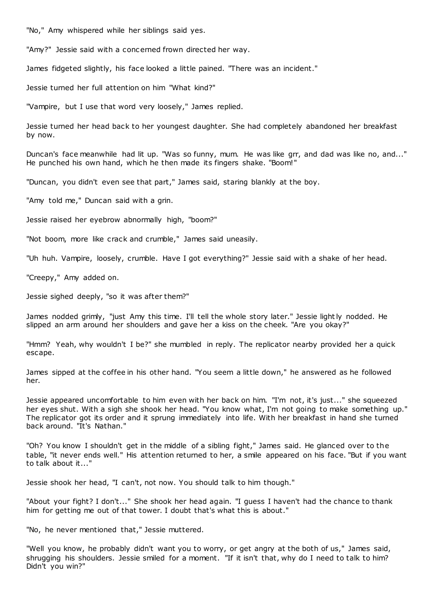"No," Amy whispered while her siblings said yes.

"Amy?" Jessie said with a concerned frown directed her way.

James fidgeted slightly, his face looked a little pained. "There was an incident."

Jessie turned her full attention on him "What kind?"

"Vampire, but I use that word very loosely," James replied.

Jessie turned her head back to her youngest daughter. She had completely abandoned her breakfast by now.

Duncan's face meanwhile had lit up. "Was so funny, mum. He was like grr, and dad was like no, and..." He punched his own hand, which he then made its fingers shake. "Boom!"

"Duncan, you didn't even see that part," James said, staring blankly at the boy.

"Amy told me," Duncan said with a grin.

Jessie raised her eyebrow abnormally high, "boom?"

"Not boom, more like crack and crumble," James said uneasily.

"Uh huh. Vampire, loosely, crumble. Have I got everything?" Jessie said with a shake of her head.

"Creepy," Amy added on.

Jessie sighed deeply, "so it was after them?"

James nodded grimly, "just Amy this time. I'll tell the whole story later." Jessie lightly nodded. He slipped an arm around her shoulders and gave her a kiss on the cheek. "Are you okay?"

"Hmm? Yeah, why wouldn't I be?" she mumbled in reply. The replicator nearby provided her a quick escape.

James sipped at the coffee in his other hand. "You seem a little down," he answered as he followed her.

Jessie appeared uncomfortable to him even with her back on him. "I'm not, it's just..." she squeezed her eyes shut. With a sigh she shook her head. "You know what, I'm not going to make something up." The replicator got its order and it sprung immediately into life. With her breakfast in hand she turned back around. "It's Nathan."

"Oh? You know I shouldn't get in the middle of a sibling fight," James said. He glanced over to the table, "it never ends well." His attention returned to her, a smile appeared on his face. "But if you want to talk about it..."

Jessie shook her head, "I can't, not now. You should talk to him though."

"About your fight? I don't..." She shook her head again. "I guess I haven't had the chance to thank him for getting me out of that tower. I doubt that's what this is about."

"No, he never mentioned that," Jessie muttered.

"Well you know, he probably didn't want you to worry, or get angry at the both of us," James said, shrugging his shoulders. Jessie smiled for a moment. "If it isn't that, why do I need to talk to him? Didn't you win?"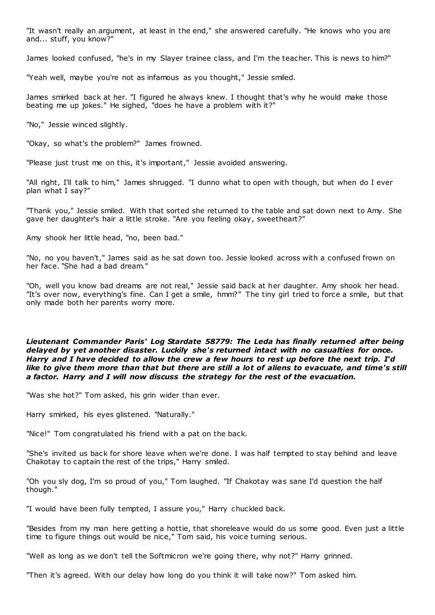"It wasn't really an argument, at least in the end," she answered carefully. "He knows who you are and... stuff, you know?"

James looked confused, "he's in my Slayer trainee class, and I'm the teacher. This is news to him?"

"Yeah well, maybe you're not as infamous as you thought," Jessie smiled.

James smirked back at her. "I figured he always knew. I thought that's why he would make those beating me up jokes." He sighed, "does he have a problem with it?"

"No," Jessie winced slightly.

"Okay, so what's the problem?" James frowned.

"Please just trust me on this, it's important," Jessie avoided answering.

"All right, I'll talk to him," James shrugged. "I dunno what to open with though, but when do I ever plan what I say?"

"Thank you," Jessie smiled. With that sorted she returned to the table and sat down next to Amy. She gave her daughter's hair a little stroke. "Are you feeling okay, sweetheart?"

Amy shook her little head, "no, been bad."

"No, no you haven't," James said as he sat down too. Jessie looked across with a confused frown on her face. "She had a bad dream."

"Oh, well you know bad dreams are not real," Jessie said back at her daughter. Amy shook her head. "It's over now, everything's fine. Can I get a smile, hmm?" The tiny girl tried to force a smile, but that only made both her parents worry more.

*Lieutenant Commander Paris' Log Stardate 58779: The Leda has finally returned after being delayed by yet another disaster. Luckily she's returned intact with no casualties for once. Harry and I have decided to allow the crew a few hours to rest up before the next trip. I'd like to give them more than that but there are still a lot of aliens to evacuate, and time's still a factor. Harry and I will now discuss the strategy for the rest of the evacuation.*

"Was she hot?" Tom asked, his grin wider than ever.

Harry smirked, his eyes glistened. "Naturally."

"Nice!" Tom congratulated his friend with a pat on the back.

"She's invited us back for shore leave when we're done. I was half tempted to stay behind and leave Chakotay to captain the rest of the trips," Harry smiled.

"Oh you sly dog, I'm so proud of you," Tom laughed. "If Chakotay was sane I'd question the half though."

"I would have been fully tempted, I assure you," Harry chuckled back.

"Besides from my man here getting a hottie, that shoreleave would do us some good. Even just a little time to figure things out would be nice," Tom said, his voice turning serious.

"Well as long as we don't tell the Softmicron we're going there, why not?" Harry grinned.

"Then it's agreed. With our delay how long do you think it will take now?" Tom asked him.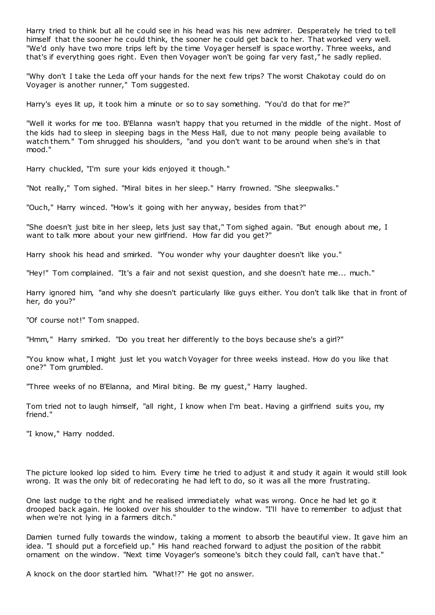Harry tried to think but all he could see in his head was his new admirer. Desperately he tried to tell himself that the sooner he could think, the sooner he could get back to her. That worked very well. "We'd only have two more trips left by the time Voyager herself is space worthy. Three weeks, and that's if everything goes right. Even then Voyager won't be going far very fast," he sadly replied.

"Why don't I take the Leda off your hands for the next few trips? The worst Chakotay could do on Voyager is another runner," Tom suggested.

Harry's eyes lit up, it took him a minute or so to say something. "You'd do that for me?"

"Well it works for me too. B'Elanna wasn't happy that you returned in the middle of the night. Most of the kids had to sleep in sleeping bags in the Mess Hall, due to not many people being available to watch them." Tom shrugged his shoulders, "and you don't want to be around when she's in that mood."

Harry chuckled, "I'm sure your kids enjoyed it though."

"Not really," Tom sighed. "Miral bites in her sleep." Harry frowned. "She sleepwalks."

"Ouch," Harry winced. "How's it going with her anyway, besides from that?"

"She doesn't just bite in her sleep, lets just say that," Tom sighed again. "But enough about me, I want to talk more about your new girlfriend. How far did you get?"

Harry shook his head and smirked. "You wonder why your daughter doesn't like you."

"Hey!" Tom complained. "It's a fair and not sexist question, and she doesn't hate me... much."

Harry ignored him, "and why she doesn't particularly like guys either. You don't talk like that in front of her, do you?"

"Of course not!" Tom snapped.

"Hmm," Harry smirked. "Do you treat her differently to the boys because she's a girl?"

"You know what, I might just let you watch Voyager for three weeks instead. How do you like that one?" Tom grumbled.

"Three weeks of no B'Elanna, and Miral biting. Be my guest," Harry laughed.

Tom tried not to laugh himself, "all right, I know when I'm beat. Having a girlfriend suits you, my friend."

"I know," Harry nodded.

The picture looked lop sided to him. Every time he tried to adjust it and study it again it would still look wrong. It was the only bit of redecorating he had left to do, so it was all the more frustrating.

One last nudge to the right and he realised immediately what was wrong. Once he had let go it drooped back again. He looked over his shoulder to the window. "I'll have to remember to adjust that when we're not lying in a farmers ditch."

Damien turned fully towards the window, taking a moment to absorb the beautiful view. It gave him an idea. "I should put a forcefield up." His hand reached forward to adjust the position of the rabbit ornament on the window. "Next time Voyager's someone's bitch they could fall, can't have that."

A knock on the door startled him. "What!?" He got no answer.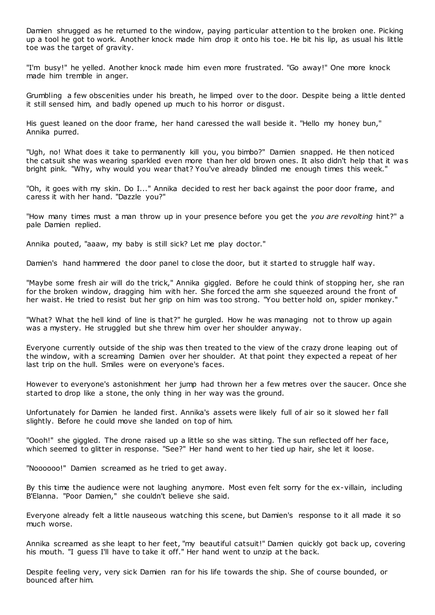Damien shrugged as he returned to the window, paying particular attention to t he broken one. Picking up a tool he got to work. Another knock made him drop it onto his toe. He bit his lip, as usual his little toe was the target of gravity.

"I'm busy!" he yelled. Another knock made him even more frustrated. "Go away!" One more knock made him tremble in anger.

Grumbling a few obscenities under his breath, he limped over to the door. Despite being a little dented it still sensed him, and badly opened up much to his horror or disgust.

His guest leaned on the door frame, her hand caressed the wall beside it. "Hello my honey bun," Annika purred.

"Ugh, no! What does it take to permanently kill you, you bimbo?" Damien snapped. He then noticed the catsuit she was wearing sparkled even more than her old brown ones. It also didn't help that it was bright pink. "Why, why would you wear that? You've already blinded me enough times this week."

"Oh, it goes with my skin. Do I..." Annika decided to rest her back against the poor door frame, and caress it with her hand. "Dazzle you?"

"How many times must a man throw up in your presence before you get the *you are revolting* hint?" a pale Damien replied.

Annika pouted, "aaaw, my baby is still sick? Let me play doctor."

Damien's hand hammered the door panel to close the door, but it started to struggle half way.

"Maybe some fresh air will do the trick," Annika giggled. Before he could think of stopping her, she ran for the broken window, dragging him with her. She forced the arm she squeezed around the front of her waist. He tried to resist but her grip on him was too strong. "You better hold on, spider monkey."

"What? What the hell kind of line is that?" he gurgled. How he was managing not to throw up again was a mystery. He struggled but she threw him over her shoulder anyway.

Everyone currently outside of the ship was then treated to the view of the crazy drone leaping out of the window, with a screaming Damien over her shoulder. At that point they expected a repeat of her last trip on the hull. Smiles were on everyone's faces.

However to everyone's astonishment her jump had thrown her a few metres over the saucer. Once she started to drop like a stone, the only thing in her way was the ground.

Unfortunately for Damien he landed first. Annika's assets were likely full of air so it slowed her fall slightly. Before he could move she landed on top of him.

"Oooh!" she giggled. The drone raised up a little so she was sitting. The sun reflected off her face, which seemed to glitter in response. "See?" Her hand went to her tied up hair, she let it loose.

"Noooooo!" Damien screamed as he tried to get away.

By this time the audience were not laughing anymore. Most even felt sorry for the ex-villain, including B'Elanna. "Poor Damien," she couldn't believe she said.

Everyone already felt a little nauseous watching this scene, but Damien's response to it all made it so much worse.

Annika screamed as she leapt to her feet, "my beautiful catsuit!" Damien quickly got back up, covering his mouth. "I guess I'll have to take it off." Her hand went to unzip at the back.

Despite feeling very, very sick Damien ran for his life towards the ship. She of course bounded, or bounced after him.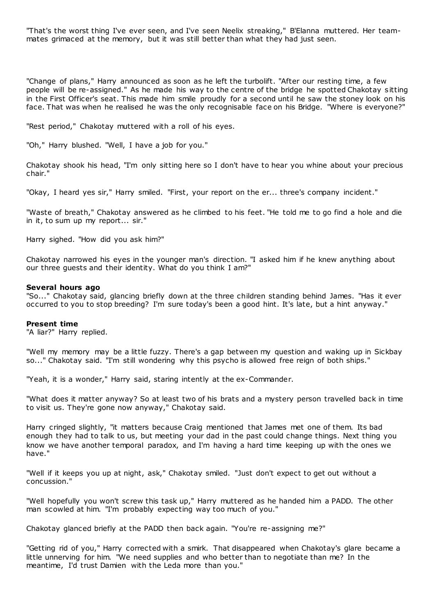"That's the worst thing I've ever seen, and I've seen Neelix streaking," B'Elanna muttered. Her teammates grimaced at the memory, but it was still better than what they had just seen.

"Change of plans," Harry announced as soon as he left the turbolift. "After our resting time, a few people will be re-assigned." As he made his way to the centre of the bridge he spotted Chakotay sitting in the First Officer's seat. This made him smile proudly for a second until he saw the stoney look on his face. That was when he realised he was the only recognisable face on his Bridge. "Where is everyone?"

"Rest period," Chakotay muttered with a roll of his eyes.

"Oh," Harry blushed. "Well, I have a job for you."

Chakotay shook his head, "I'm only sitting here so I don't have to hear you whine about your precious chair."

"Okay, I heard yes sir," Harry smiled. "First, your report on the er... three's company incident."

"Waste of breath," Chakotay answered as he climbed to his feet. "He told me to go find a hole and die in it, to sum up my report... sir."

Harry sighed. "How did you ask him?"

Chakotay narrowed his eyes in the younger man's direction. "I asked him if he knew anything about our three guests and their identity. What do you think I am?"

### **Several hours ago**

"So..." Chakotay said, glancing briefly down at the three children standing behind James. "Has it ever occurred to you to stop breeding? I'm sure today's been a good hint. It's late, but a hint anyway."

#### **Present time**

"A liar?" Harry replied.

"Well my memory may be a little fuzzy. There's a gap between my question and waking up in Sickbay so..." Chakotay said. "I'm still wondering why this psycho is allowed free reign of both ships."

"Yeah, it is a wonder," Harry said, staring intently at the ex-Commander.

"What does it matter anyway? So at least two of his brats and a mystery person travelled back in time to visit us. They're gone now anyway," Chakotay said.

Harry cringed slightly, "it matters because Craig mentioned that James met one of them. Its bad enough they had to talk to us, but meeting your dad in the past could change things. Next thing you know we have another temporal paradox, and I'm having a hard time keeping up with the ones we have."

"Well if it keeps you up at night, ask," Chakotay smiled. "Just don't expect to get out without a concussion."

"Well hopefully you won't screw this task up," Harry muttered as he handed him a PADD. The other man scowled at him. "I'm probably expecting way too much of you."

Chakotay glanced briefly at the PADD then back again. "You're re-assigning me?"

"Getting rid of you," Harry corrected with a smirk. That disappeared when Chakotay's glare became a little unnerving for him. "We need supplies and who better than to negotiate than me? In the meantime, I'd trust Damien with the Leda more than you."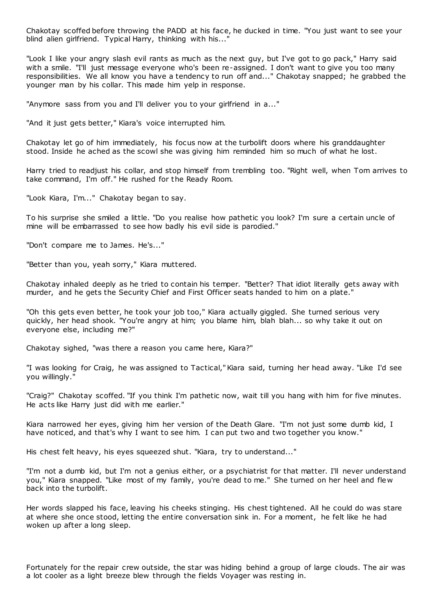Chakotay scoffed before throwing the PADD at his face, he ducked in time. "You just want to see your blind alien girlfriend. Typical Harry, thinking with his...'

"Look I like your angry slash evil rants as much as the next guy, but I've got to go pack," Harry said with a smile. "I'll just message everyone who's been re-assigned. I don't want to give you too many responsibilities. We all know you have a tendency to run off and..." Chakotay snapped; he grabbed the younger man by his collar. This made him yelp in response.

"Anymore sass from you and I'll deliver you to your girlfriend in a..."

"And it just gets better," Kiara's voice interrupted him.

Chakotay let go of him immediately, his focus now at the turbolift doors where his granddaughter stood. Inside he ached as the scowl she was giving him reminded him so much of what he lost.

Harry tried to readjust his collar, and stop himself from trembling too. "Right well, when Tom arrives to take command, I'm off." He rushed for the Ready Room.

"Look Kiara, I'm..." Chakotay began to say.

To his surprise she smiled a little. "Do you realise how pathetic you look? I'm sure a certain uncle of mine will be embarrassed to see how badly his evil side is parodied."

"Don't compare me to James. He's..."

"Better than you, yeah sorry," Kiara muttered.

Chakotay inhaled deeply as he tried to contain his temper. "Better? That idiot literally gets away with murder, and he gets the Security Chief and First Officer seats handed to him on a plate."

"Oh this gets even better, he took your job too," Kiara actually giggled. She turned serious very quickly, her head shook. "You're angry at him; you blame him, blah blah... so why take it out on everyone else, including me?"

Chakotay sighed, "was there a reason you came here, Kiara?"

"I was looking for Craig, he was assigned to Tactical," Kiara said, turning her head away. "Like I'd see you willingly."

"Craig?" Chakotay scoffed. "If you think I'm pathetic now, wait till you hang with him for five minutes. He acts like Harry just did with me earlier."

Kiara narrowed her eyes, giving him her version of the Death Glare. "I'm not just some dumb kid, I have noticed, and that's why I want to see him. I can put two and two together you know."

His chest felt heavy, his eyes squeezed shut. "Kiara, try to understand..."

"I'm not a dumb kid, but I'm not a genius either, or a psychiatrist for that matter. I'll never understand you," Kiara snapped. "Like most of my family, you're dead to me." She turned on her heel and fle w back into the turbolift.

Her words slapped his face, leaving his cheeks stinging. His chest tightened. All he could do was stare at where she once stood, letting the entire conversation sink in. For a moment, he felt like he had woken up after a long sleep.

Fortunately for the repair crew outside, the star was hiding behind a group of large clouds. The air was a lot cooler as a light breeze blew through the fields Voyager was resting in.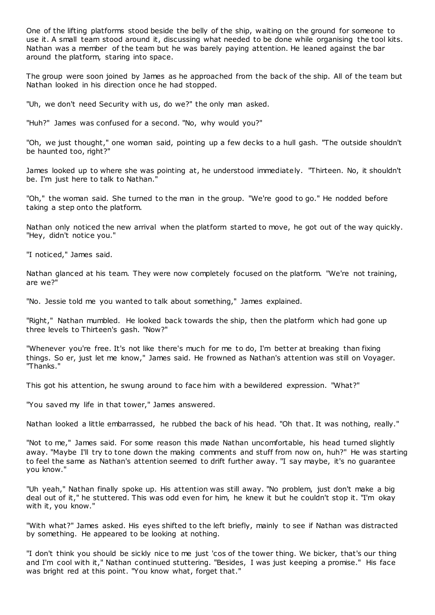One of the lifting platforms stood beside the belly of the ship, waiting on the ground for someone to use it. A small team stood around it, discussing what needed to be done while organising the tool kits. Nathan was a member of the team but he was barely paying attention. He leaned against the bar around the platform, staring into space.

The group were soon joined by James as he approached from the back of the ship. All of the team but Nathan looked in his direction once he had stopped.

"Uh, we don't need Security with us, do we?" the only man asked.

"Huh?" James was confused for a second. "No, why would you?"

"Oh, we just thought," one woman said, pointing up a few decks to a hull gash. "The outside shouldn't be haunted too, right?"

James looked up to where she was pointing at, he understood immediately. "Thirteen. No, it shouldn't be. I'm just here to talk to Nathan."

"Oh," the woman said. She turned to the man in the group. "We're good to go." He nodded before taking a step onto the platform.

Nathan only noticed the new arrival when the platform started to move, he got out of the way quickly. "Hey, didn't notice you."

"I noticed," James said.

Nathan glanced at his team. They were now completely focused on the platform. "We're not training, are we?"

"No. Jessie told me you wanted to talk about something," James explained.

"Right," Nathan mumbled. He looked back towards the ship, then the platform which had gone up three levels to Thirteen's gash. "Now?"

"Whenever you're free. It's not like there's much for me to do, I'm better at breaking than fixing things. So er, just let me know," James said. He frowned as Nathan's attention was still on Voyager. "Thanks."

This got his attention, he swung around to face him with a bewildered expression. "What?"

"You saved my life in that tower," James answered.

Nathan looked a little embarrassed, he rubbed the back of his head. "Oh that. It was nothing, really."

"Not to me," James said. For some reason this made Nathan uncomfortable, his head turned slightly away. "Maybe I'll try to tone down the making comments and stuff from now on, huh?" He was starting to feel the same as Nathan's attention seemed to drift further away. "I say maybe, it's no guarantee you know."

"Uh yeah," Nathan finally spoke up. His attention was still away. "No problem, just don't make a big deal out of it," he stuttered. This was odd even for him, he knew it but he couldn't stop it. "I'm okay with it, you know."

"With what?" James asked. His eyes shifted to the left briefly, mainly to see if Nathan was distracted by something. He appeared to be looking at nothing.

"I don't think you should be sickly nice to me just 'cos of the tower thing. We bicker, that's our thing and I'm cool with it," Nathan continued stuttering. "Besides, I was just keeping a promise." His face was bright red at this point. "You know what, forget that."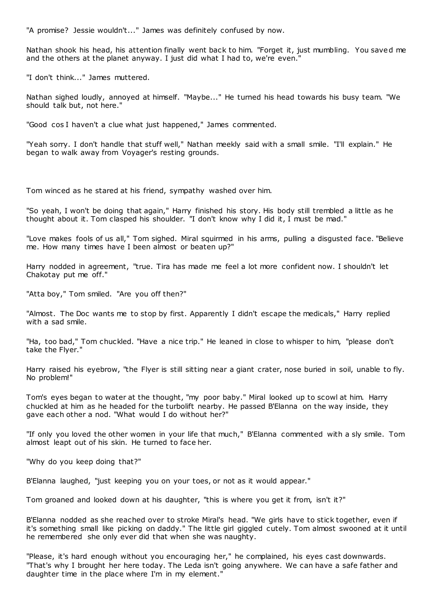"A promise? Jessie wouldn't..." James was definitely confused by now.

Nathan shook his head, his attention finally went back to him. "Forget it, just mumbling. You saved me and the others at the planet anyway. I just did what I had to, we're even."

"I don't think..." James muttered.

Nathan sighed loudly, annoyed at himself. "Maybe..." He turned his head towards his busy team. "We should talk but, not here."

"Good cos I haven't a clue what just happened," James commented.

"Yeah sorry. I don't handle that stuff well," Nathan meekly said with a small smile. "I'll explain." He began to walk away from Voyager's resting grounds.

Tom winced as he stared at his friend, sympathy washed over him.

"So yeah, I won't be doing that again," Harry finished his story. His body still trembled a little as he thought about it. Tom clasped his shoulder. "I don't know why I did it, I must be mad."

"Love makes fools of us all," Tom sighed. Miral squirmed in his arms, pulling a disgusted face. "Believe me. How many times have I been almost or beaten up?"

Harry nodded in agreement, "true. Tira has made me feel a lot more confident now. I shouldn't let Chakotay put me off."

"Atta boy," Tom smiled. "Are you off then?"

"Almost. The Doc wants me to stop by first. Apparently I didn't escape the medicals," Harry replied with a sad smile.

"Ha, too bad," Tom chuckled. "Have a nice trip." He leaned in close to whisper to him, "please don't take the Flyer."

Harry raised his eyebrow, "the Flyer is still sitting near a giant crater, nose buried in soil, unable to fly. No problem!"

Tom's eyes began to water at the thought, "my poor baby." Miral looked up to scowl at him. Harry chuckled at him as he headed for the turbolift nearby. He passed B'Elanna on the way inside, they gave each other a nod. "What would I do without her?"

"If only you loved the other women in your life that much," B'Elanna commented with a sly smile. Tom almost leapt out of his skin. He turned to face her.

"Why do you keep doing that?"

B'Elanna laughed, "just keeping you on your toes, or not as it would appear."

Tom groaned and looked down at his daughter, "this is where you get it from, isn't it?"

B'Elanna nodded as she reached over to stroke Miral's head. "We girls have to stick together, even if it's something small like picking on daddy." The little girl giggled cutely. Tom almost swooned at it until he remembered she only ever did that when she was naughty.

"Please, it's hard enough without you encouraging her," he complained, his eyes cast downwards. "That's why I brought her here today. The Leda isn't going anywhere. We can have a safe father and daughter time in the place where I'm in my element."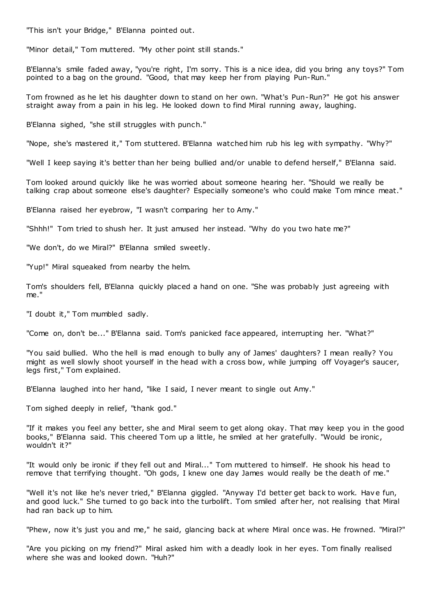"This isn't your Bridge," B'Elanna pointed out.

"Minor detail," Tom muttered. "My other point still stands."

B'Elanna's smile faded away, "you're right, I'm sorry. This is a nice idea, did you bring any toys?" Tom pointed to a bag on the ground. "Good, that may keep her from playing Pun-Run."

Tom frowned as he let his daughter down to stand on her own. "What's Pun-Run?" He got his answer straight away from a pain in his leg. He looked down to find Miral running away, laughing.

B'Elanna sighed, "she still struggles with punch."

"Nope, she's mastered it," Tom stuttered. B'Elanna watched him rub his leg with sympathy. "Why?"

"Well I keep saying it's better than her being bullied and/or unable to defend herself," B'Elanna said.

Tom looked around quickly like he was worried about someone hearing her. "Should we really be talking crap about someone else's daughter? Especially someone's who could make Tom mince meat."

B'Elanna raised her eyebrow, "I wasn't comparing her to Amy."

"Shhh!" Tom tried to shush her. It just amused her instead. "Why do you two hate me?"

"We don't, do we Miral?" B'Elanna smiled sweetly.

"Yup!" Miral squeaked from nearby the helm.

Tom's shoulders fell, B'Elanna quickly placed a hand on one. "She was probably just agreeing with me."

"I doubt it," Tom mumbled sadly.

"Come on, don't be..." B'Elanna said. Tom's panicked face appeared, interrupting her. "What?"

"You said bullied. Who the hell is mad enough to bully any of James' daughters? I mean really? You might as well slowly shoot yourself in the head with a cross bow, while jumping off Voyager's saucer, legs first," Tom explained.

B'Elanna laughed into her hand, "like I said, I never meant to single out Amy."

Tom sighed deeply in relief, "thank god."

"If it makes you feel any better, she and Miral seem to get along okay. That may keep you in the good books," B'Elanna said. This cheered Tom up a little, he smiled at her gratefully. "Would be ironic, wouldn't it?"

"It would only be ironic if they fell out and Miral..." Tom muttered to himself. He shook his head to remove that terrifying thought. "Oh gods, I knew one day James would really be the death of me."

"Well it's not like he's never tried," B'Elanna giggled. "Anyway I'd better get back to work. Have fun, and good luck." She turned to go back into the turbolift. Tom smiled after her, not realising that Miral had ran back up to him.

"Phew, now it's just you and me," he said, glancing back at where Miral once was. He frowned. "Miral?"

"Are you picking on my friend?" Miral asked him with a deadly look in her eyes. Tom finally realised where she was and looked down. "Huh?"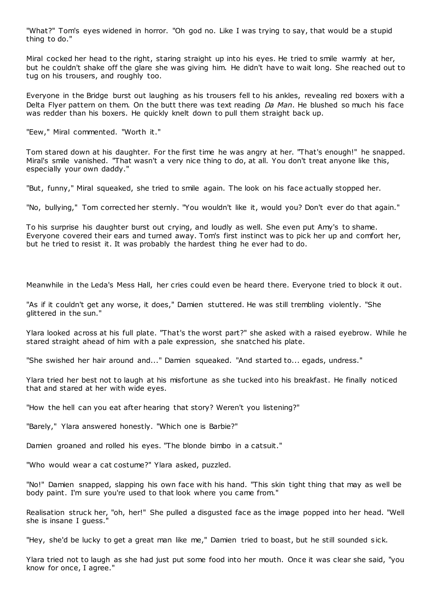"What?" Tom's eyes widened in horror. "Oh god no. Like I was trying to say, that would be a stupid thing to do."

Miral cocked her head to the right, staring straight up into his eyes. He tried to smile warmly at her, but he couldn't shake off the glare she was giving him. He didn't have to wait long. She reached out to tug on his trousers, and roughly too.

Everyone in the Bridge burst out laughing as his trousers fell to his ankles, revealing red boxers with a Delta Flyer pattern on them. On the butt there was text reading *Da Man*. He blushed so much his face was redder than his boxers. He quickly knelt down to pull them straight back up.

"Eew," Miral commented. "Worth it."

Tom stared down at his daughter. For the first time he was angry at her. "That's enough!" he snapped. Miral's smile vanished. "That wasn't a very nice thing to do, at all. You don't treat anyone like this, especially your own daddy."

"But, funny," Miral squeaked, she tried to smile again. The look on his face actually stopped her.

"No, bullying," Tom corrected her sternly. "You wouldn't like it, would you? Don't ever do that again."

To his surprise his daughter burst out crying, and loudly as well. She even put Amy's to shame. Everyone covered their ears and turned away. Tom's first instinct was to pick her up and comfort her, but he tried to resist it. It was probably the hardest thing he ever had to do.

Meanwhile in the Leda's Mess Hall, her cries could even be heard there. Everyone tried to block it out.

"As if it couldn't get any worse, it does," Damien stuttered. He was still trembling violently. "She glittered in the sun."

Ylara looked across at his full plate. "That's the worst part?" she asked with a raised eyebrow. While he stared straight ahead of him with a pale expression, she snatched his plate.

"She swished her hair around and..." Damien squeaked. "And started to... egads, undress."

Ylara tried her best not to laugh at his misfortune as she tucked into his breakfast. He finally noticed that and stared at her with wide eyes.

"How the hell can you eat after hearing that story? Weren't you listening?"

"Barely," Ylara answered honestly. "Which one is Barbie?"

Damien groaned and rolled his eyes. "The blonde bimbo in a catsuit."

"Who would wear a cat costume?" Ylara asked, puzzled.

"No!" Damien snapped, slapping his own face with his hand. "This skin tight thing that may as well be body paint. I'm sure you're used to that look where you came from."

Realisation struck her, "oh, her!" She pulled a disgusted face as the image popped into her head. "Well she is insane I guess."

"Hey, she'd be lucky to get a great man like me," Damien tried to boast, but he still sounded s ick.

Ylara tried not to laugh as she had just put some food into her mouth. Once it was clear she said, "you know for once, I agree."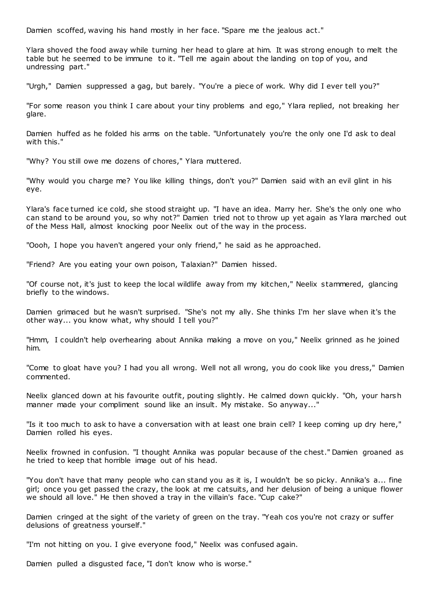Damien scoffed, waving his hand mostly in her face. "Spare me the jealous act."

Ylara shoved the food away while turning her head to glare at him. It was strong enough to melt the table but he seemed to be immune to it. "Tell me again about the landing on top of you, and undressing part."

"Urgh," Damien suppressed a gag, but barely. "You're a piece of work. Why did I ever tell you?"

"For some reason you think I care about your tiny problems and ego," Ylara replied, not breaking her glare.

Damien huffed as he folded his arms on the table. "Unfortunately you're the only one I'd ask to deal with this."

"Why? You still owe me dozens of chores," Ylara muttered.

"Why would you charge me? You like killing things, don't you?" Damien said with an evil glint in his eye.

Ylara's face turned ice cold, she stood straight up. "I have an idea. Marry her. She's the only one who can stand to be around you, so why not?" Damien tried not to throw up yet again as Ylara marched out of the Mess Hall, almost knocking poor Neelix out of the way in the process.

"Oooh, I hope you haven't angered your only friend," he said as he approached.

"Friend? Are you eating your own poison, Talaxian?" Damien hissed.

"Of course not, it's just to keep the local wildlife away from my kitchen," Neelix stammered, glancing briefly to the windows.

Damien grimaced but he wasn't surprised. "She's not my ally. She thinks I'm her slave when it's the other way... you know what, why should I tell you?"

"Hmm, I couldn't help overhearing about Annika making a move on you," Neelix grinned as he joined him.

"Come to gloat have you? I had you all wrong. Well not all wrong, you do cook like you dress," Damien commented.

Neelix glanced down at his favourite outfit, pouting slightly. He calmed down quickly. "Oh, your harsh manner made your compliment sound like an insult. My mistake. So anyway..."

"Is it too much to ask to have a conversation with at least one brain cell? I keep coming up dry here," Damien rolled his eyes.

Neelix frowned in confusion. "I thought Annika was popular because of the chest." Damien groaned as he tried to keep that horrible image out of his head.

"You don't have that many people who can stand you as it is, I wouldn't be so picky. Annika's a... fine girl; once you get passed the crazy, the look at me catsuits, and her delusion of being a unique flower we should all love." He then shoved a tray in the villain's face. "Cup cake?"

Damien cringed at the sight of the variety of green on the tray. "Yeah cos you're not crazy or suffer delusions of greatness yourself."

"I'm not hitting on you. I give everyone food," Neelix was confused again.

Damien pulled a disgusted face, "I don't know who is worse."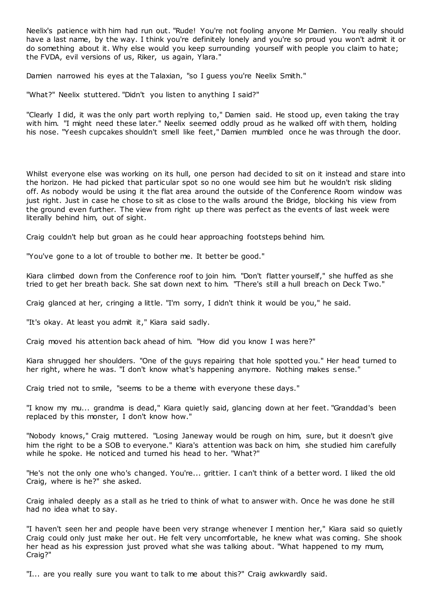Neelix's patience with him had run out. "Rude! You're not fooling anyone Mr Damien. You really should have a last name, by the way. I think you're definitely lonely and you're so proud you won't admit it or do something about it. Why else would you keep surrounding yourself with people you claim to hate; the FVDA, evil versions of us, Riker, us again, Ylara."

Damien narrowed his eyes at the Talaxian, "so I guess you're Neelix Smith."

"What?" Neelix stuttered. "Didn't you listen to anything I said?"

"Clearly I did, it was the only part worth replying to," Damien said. He stood up, even taking the tray with him. "I might need these later." Neelix seemed oddly proud as he walked off with them, holding his nose. "Yeesh cupcakes shouldn't smell like feet," Damien mumbled once he was through the door.

Whilst everyone else was working on its hull, one person had decided to sit on it instead and stare into the horizon. He had picked that particular spot so no one would see him but he wouldn't risk sliding off. As nobody would be using it the flat area around the outside of the Conference Room window was just right. Just in case he chose to sit as close to the walls around the Bridge, blocking his view from the ground even further. The view from right up there was perfect as the events of last week were literally behind him, out of sight.

Craig couldn't help but groan as he could hear approaching footsteps behind him.

"You've gone to a lot of trouble to bother me. It better be good."

Kiara climbed down from the Conference roof to join him. "Don't flatter yourself," she huffed as she tried to get her breath back. She sat down next to him. "There's still a hull breach on Deck Two."

Craig glanced at her, cringing a little. "I'm sorry, I didn't think it would be you," he said.

"It's okay. At least you admit it," Kiara said sadly.

Craig moved his attention back ahead of him. "How did you know I was here?"

Kiara shrugged her shoulders. "One of the guys repairing that hole spotted you." Her head turned to her right, where he was. "I don't know what's happening anymore. Nothing makes sense."

Craig tried not to smile, "seems to be a theme with everyone these days."

"I know my mu... grandma is dead," Kiara quietly said, glancing down at her feet. "Granddad's been replaced by this monster, I don't know how."

"Nobody knows," Craig muttered. "Losing Janeway would be rough on him, sure, but it doesn't give him the right to be a SOB to everyone." Kiara's attention was back on him, she studied him carefully while he spoke. He noticed and turned his head to her. "What?"

"He's not the only one who's changed. You're... grittier. I can't think of a better word. I liked the old Craig, where is he?" she asked.

Craig inhaled deeply as a stall as he tried to think of what to answer with. Once he was done he still had no idea what to say.

"I haven't seen her and people have been very strange whenever I mention her," Kiara said so quietly Craig could only just make her out. He felt very uncomfortable, he knew what was coming. She shook her head as his expression just proved what she was talking about. "What happened to my mum, Craig?"

"I... are you really sure you want to talk to me about this?" Craig awkwardly said.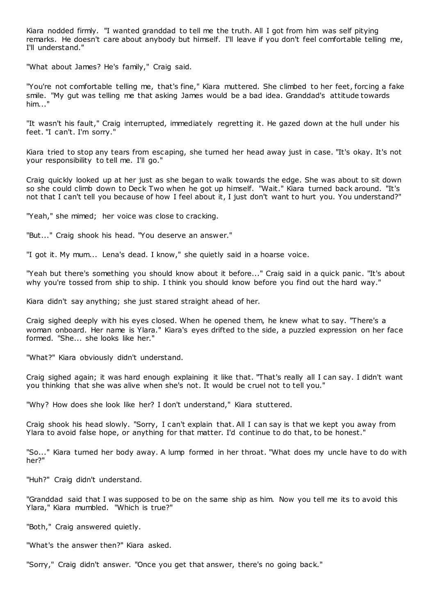Kiara nodded firmly. "I wanted granddad to tell me the truth. All I got from him was self pitying remarks. He doesn't care about anybody but himself. I'll leave if you don't feel comfortable telling me, I'll understand."

"What about James? He's family," Craig said.

"You're not comfortable telling me, that's fine," Kiara muttered. She climbed to her feet, forcing a fake smile. "My gut was telling me that asking James would be a bad idea. Granddad's attitude towards him..."

"It wasn't his fault," Craig interrupted, immediately regretting it. He gazed down at the hull under his feet. "I can't. I'm sorry."

Kiara tried to stop any tears from escaping, she turned her head away just in case. "It's okay. It's not your responsibility to tell me. I'll go."

Craig quickly looked up at her just as she began to walk towards the edge. She was about to sit down so she could climb down to Deck Two when he got up himself. "Wait." Kiara turned back around. "It's not that I can't tell you because of how I feel about it, I just don't want to hurt you. You understand?"

"Yeah," she mimed; her voice was close to cracking.

"But..." Craig shook his head. "You deserve an answer."

"I got it. My mum... Lena's dead. I know," she quietly said in a hoarse voice.

"Yeah but there's something you should know about it before..." Craig said in a quick panic. "It's about why you're tossed from ship to ship. I think you should know before you find out the hard way."

Kiara didn't say anything; she just stared straight ahead of her.

Craig sighed deeply with his eyes closed. When he opened them, he knew what to say. "There's a woman onboard. Her name is Ylara." Kiara's eyes drifted to the side, a puzzled expression on her face formed. "She... she looks like her."

"What?" Kiara obviously didn't understand.

Craig sighed again; it was hard enough explaining it like that. "That's really all I can say. I didn't want you thinking that she was alive when she's not. It would be cruel not to tell you."

"Why? How does she look like her? I don't understand," Kiara stuttered.

Craig shook his head slowly. "Sorry, I can't explain that. All I can say is that we kept you away from Ylara to avoid false hope, or anything for that matter. I'd continue to do that, to be honest."

"So..." Kiara turned her body away. A lump formed in her throat. "What does my uncle have to do with her?"

"Huh?" Craig didn't understand.

"Granddad said that I was supposed to be on the same ship as him. Now you tell me its to avoid this Ylara," Kiara mumbled. "Which is true?"

"Both," Craig answered quietly.

"What's the answer then?" Kiara asked.

"Sorry," Craig didn't answer. "Once you get that answer, there's no going back."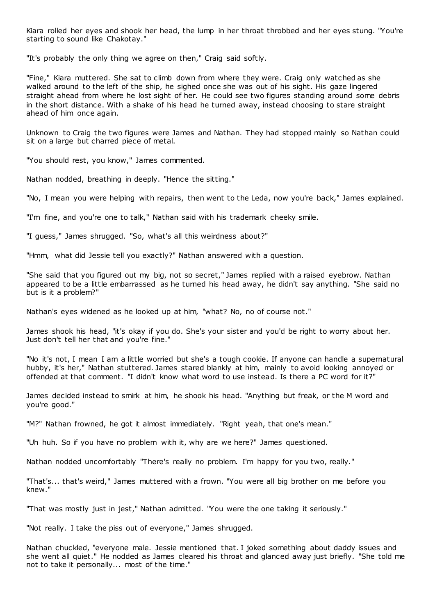Kiara rolled her eyes and shook her head, the lump in her throat throbbed and her eyes stung. "You're starting to sound like Chakotay."

"It's probably the only thing we agree on then," Craig said softly.

"Fine," Kiara muttered. She sat to climb down from where they were. Craig only watched as she walked around to the left of the ship, he sighed once she was out of his sight. His gaze lingered straight ahead from where he lost sight of her. He could see two figures standing around some debris in the short distance. With a shake of his head he turned away, instead choosing to stare straight ahead of him once again.

Unknown to Craig the two figures were James and Nathan. They had stopped mainly so Nathan could sit on a large but charred piece of metal.

"You should rest, you know," James commented.

Nathan nodded, breathing in deeply. "Hence the sitting."

"No, I mean you were helping with repairs, then went to the Leda, now you're back," James explained.

"I'm fine, and you're one to talk," Nathan said with his trademark cheeky smile.

"I guess," James shrugged. "So, what's all this weirdness about?"

"Hmm, what did Jessie tell you exactly?" Nathan answered with a question.

"She said that you figured out my big, not so secret," James replied with a raised eyebrow. Nathan appeared to be a little embarrassed as he turned his head away, he didn't say anything. "She said no but is it a problem?"

Nathan's eyes widened as he looked up at him, "what? No, no of course not."

James shook his head, "it's okay if you do. She's your sister and you'd be right to worry about her. Just don't tell her that and you're fine."

"No it's not, I mean I am a little worried but she's a tough cookie. If anyone can handle a supernatural hubby, it's her," Nathan stuttered. James stared blankly at him, mainly to avoid looking annoyed or offended at that comment. "I didn't know what word to use instead. Is there a PC word for it?"

James decided instead to smirk at him, he shook his head. "Anything but freak, or the M word and you're good."

"M?" Nathan frowned, he got it almost immediately. "Right yeah, that one's mean."

"Uh huh. So if you have no problem with it, why are we here?" James questioned.

Nathan nodded uncomfortably "There's really no problem. I'm happy for you two, really."

"That's... that's weird," James muttered with a frown. "You were all big brother on me before you knew."

"That was mostly just in jest," Nathan admitted. "You were the one taking it seriously."

"Not really. I take the piss out of everyone," James shrugged.

Nathan chuckled, "everyone male. Jessie mentioned that. I joked something about daddy issues and she went all quiet." He nodded as James cleared his throat and glanced away just briefly. "She told me not to take it personally... most of the time."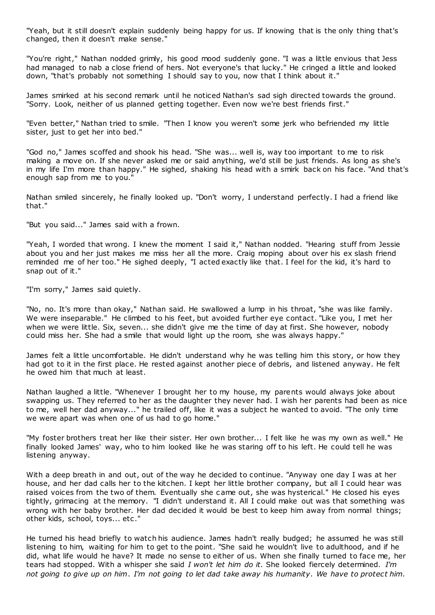"Yeah, but it still doesn't explain suddenly being happy for us. If knowing that is the only thing that's changed, then it doesn't make sense."

"You're right," Nathan nodded grimly, his good mood suddenly gone. "I was a little envious that Jess had managed to nab a close friend of hers. Not everyone's that lucky." He cringed a little and looked down, "that's probably not something I should say to you, now that I think about it."

James smirked at his second remark until he noticed Nathan's sad sigh directed towards the ground. "Sorry. Look, neither of us planned getting together. Even now we're best friends first."

"Even better," Nathan tried to smile. "Then I know you weren't some jerk who befriended my little sister, just to get her into bed."

"God no," James scoffed and shook his head. "She was... well is, way too important to me to risk making a move on. If she never asked me or said anything, we'd still be just friends. As long as she's in my life I'm more than happy." He sighed, shaking his head with a smirk back on his face. "And that's enough sap from me to you."

Nathan smiled sincerely, he finally looked up. "Don't worry, I understand perfectly. I had a friend like that."

"But you said..." James said with a frown.

"Yeah, I worded that wrong. I knew the moment I said it," Nathan nodded. "Hearing stuff from Jessie about you and her just makes me miss her all the more. Craig moping about over his ex slash friend reminded me of her too." He sighed deeply, "I acted exactly like that. I feel for the kid, it's hard to snap out of it."

"I'm sorry," James said quietly.

"No, no. It's more than okay," Nathan said. He swallowed a lump in his throat, "she was like family. We were inseparable." He climbed to his feet, but avoided further eye contact. "Like you, I met her when we were little. Six, seven... she didn't give me the time of day at first. She however, nobody could miss her. She had a smile that would light up the room, she was always happy."

James felt a little uncomfortable. He didn't understand why he was telling him this story, or how they had got to it in the first place. He rested against another piece of debris, and listened anyway. He felt he owed him that much at least.

Nathan laughed a little. "Whenever I brought her to my house, my parents would always joke about swapping us. They referred to her as the daughter they never had. I wish her parents had been as nice to me, well her dad anyway..." he trailed off, like it was a subject he wanted to avoid. "The only time we were apart was when one of us had to go home."

"My foster brothers treat her like their sister. Her own brother... I felt like he was my own as well." He finally looked James' way, who to him looked like he was staring off to his left. He could tell he was listening anyway.

With a deep breath in and out, out of the way he decided to continue. "Anyway one day I was at her house, and her dad calls her to the kitchen. I kept her little brother company, but all I could hear was raised voices from the two of them. Eventually she c ame out, she was hysterical." He closed his eyes tightly, grimacing at the memory. "I didn't understand it. All I could make out was that something was wrong with her baby brother. Her dad decided it would be best to keep him away from normal things; other kids, school, toys... etc ."

He turned his head briefly to watch his audience. James hadn't really budged; he assumed he was still listening to him, waiting for him to get to the point. "She said he wouldn't live to adulthood, and if he did, what life would he have? It made no sense to either of us. When she finally turned to face me, her tears had stopped. With a whisper she said *I won't let him do it.* She looked fiercely determined. *I'm not going to give up on him*. *I'm not going to let dad take away his humanity*. *We have to protect him.*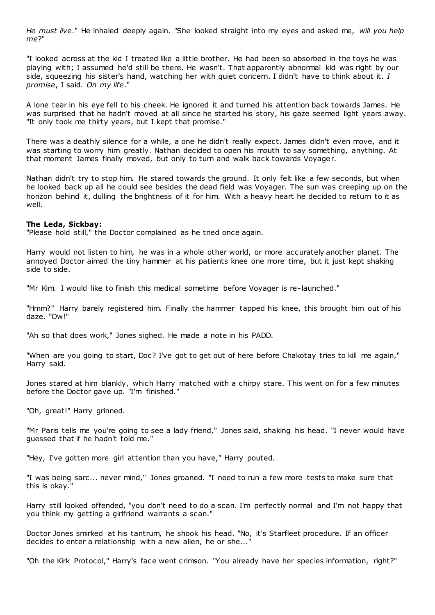*He must live*." He inhaled deeply again. "She looked straight into my eyes and asked me, *will you help me*?"

"I looked across at the kid I treated like a little brother. He had been so absorbed in the toys he was playing with; I assumed he'd still be there. He wasn't. That apparently abnormal kid was right by our side, squeezing his sister's hand, watching her with quiet concern. I didn't have to think about it. *I promise*, I said. *On my life*."

A lone tear in his eye fell to his cheek. He ignored it and turned his attention back towards James. He was surprised that he hadn't moved at all since he started his story, his gaze seemed light years away. "It only took me thirty years, but I kept that promise."

There was a deathly silence for a while, a one he didn't really expect. James didn't even move, and it was starting to worry him greatly. Nathan decided to open his mouth to say something, anything. At that moment James finally moved, but only to turn and walk back towards Voyager.

Nathan didn't try to stop him. He stared towards the ground. It only felt like a few seconds, but when he looked back up all he could see besides the dead field was Voyager. The sun was creeping up on the horizon behind it, dulling the brightness of it for him. With a heavy heart he decided to return to it as well.

# **The Leda, Sickbay:**

"Please hold still," the Doctor complained as he tried once again.

Harry would not listen to him, he was in a whole other world, or more accurately another planet. The annoyed Doctor aimed the tiny hammer at his patients knee one more time, but it just kept shaking side to side.

"Mr Kim. I would like to finish this medical sometime before Voyager is re-launched."

"Hmm?" Harry barely registered him. Finally the hammer tapped his knee, this brought him out of his daze. "Ow!"

"Ah so that does work," Jones sighed. He made a note in his PADD.

"When are you going to start, Doc? I've got to get out of here before Chakotay tries to kill me again," Harry said.

Jones stared at him blankly, which Harry matched with a chirpy stare. This went on for a few minutes before the Doctor gave up. "I'm finished."

"Oh, great!" Harry grinned.

"Mr Paris tells me you're going to see a lady friend," Jones said, shaking his head. "I never would have guessed that if he hadn't told me."

"Hey, I've gotten more girl attention than you have," Harry pouted.

"I was being sarc ... never mind," Jones groaned. "I need to run a few more tests to make sure that this is okay."

Harry still looked offended, "you don't need to do a scan. I'm perfectly normal and I'm not happy that you think my getting a girlfriend warrants a scan."

Doctor Jones smirked at his tantrum, he shook his head. "No, it's Starfleet procedure. If an officer decides to enter a relationship with a new alien, he or she...'

"Oh the Kirk Protocol," Harry's face went crimson. "You already have her species information, right?"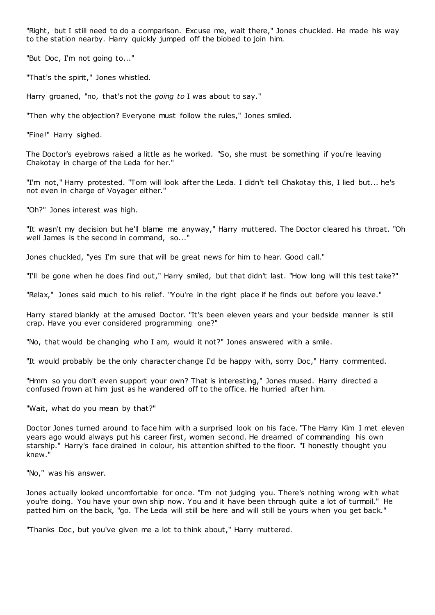"Right, but I still need to do a comparison. Excuse me, wait there," Jones chuckled. He made his way to the station nearby. Harry quickly jumped off the biobed to join him.

"But Doc, I'm not going to..."

"That's the spirit," Jones whistled.

Harry groaned, "no, that's not the *going to* I was about to say."

"Then why the objection? Everyone must follow the rules," Jones smiled.

"Fine!" Harry sighed.

The Doctor's eyebrows raised a little as he worked. "So, she must be something if you're leaving Chakotay in charge of the Leda for her."

"I'm not," Harry protested. "Tom will look after the Leda. I didn't tell Chakotay this, I lied but... he's not even in charge of Voyager either."

"Oh?" Jones interest was high.

"It wasn't my decision but he'll blame me anyway," Harry muttered. The Doctor cleared his throat. "Oh well James is the second in command, so..."

Jones chuckled, "yes I'm sure that will be great news for him to hear. Good call."

"I'll be gone when he does find out," Harry smiled, but that didn't last. "How long will this test take?"

"Relax," Jones said much to his relief. "You're in the right place if he finds out before you leave."

Harry stared blankly at the amused Doctor. "It's been eleven years and your bedside manner is still crap. Have you ever considered programming one?"

"No, that would be changing who I am, would it not?" Jones answered with a smile.

"It would probably be the only character change I'd be happy with, sorry Doc ," Harry commented.

"Hmm so you don't even support your own? That is interesting," Jones mused. Harry directed a confused frown at him just as he wandered off to the office. He hurried after him.

"Wait, what do you mean by that?"

Doctor Jones turned around to face him with a surprised look on his face. "The Harry Kim I met eleven years ago would always put his career first, women second. He dreamed of commanding his own starship." Harry's face drained in colour, his attention shifted to the floor. "I honestly thought you knew."

"No," was his answer.

Jones actually looked uncomfortable for once. "I'm not judging you. There's nothing wrong with what you're doing. You have your own ship now. You and it have been through quite a lot of turmoil." He patted him on the back, "go. The Leda will still be here and will still be yours when you get back."

"Thanks Doc , but you've given me a lot to think about," Harry muttered.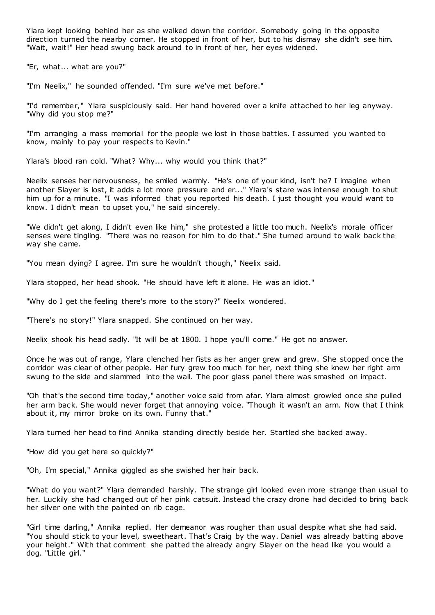Ylara kept looking behind her as she walked down the corridor. Somebody going in the opposite direction turned the nearby corner. He stopped in front of her, but to his dismay she didn't see him. "Wait, wait!" Her head swung back around to in front of her, her eyes widened.

"Er, what... what are you?"

"I'm Neelix," he sounded offended. "I'm sure we've met before."

"I'd remember," Ylara suspiciously said. Her hand hovered over a knife attached to her leg anyway. "Why did you stop me?"

"I'm arranging a mass memorial for the people we lost in those battles. I assumed you wanted to know, mainly to pay your respects to Kevin."

Ylara's blood ran cold. "What? Why... why would you think that?"

Neelix senses her nervousness, he smiled warmly. "He's one of your kind, isn't he? I imagine when another Slayer is lost, it adds a lot more pressure and er..." Ylara's stare was intense enough to shut him up for a minute. "I was informed that you reported his death. I just thought you would want to know. I didn't mean to upset you," he said sincerely.

"We didn't get along, I didn't even like him," she protested a little too much. Neelix's morale officer senses were tingling. "There was no reason for him to do that." She turned around to walk back the way she came.

"You mean dying? I agree. I'm sure he wouldn't though," Neelix said.

Ylara stopped, her head shook. "He should have left it alone. He was an idiot."

"Why do I get the feeling there's more to the story?" Neelix wondered.

"There's no story!" Ylara snapped. She continued on her way.

Neelix shook his head sadly. "It will be at 1800. I hope you'll come." He got no answer.

Once he was out of range, Ylara clenched her fists as her anger grew and grew. She stopped once the corridor was clear of other people. Her fury grew too much for her, next thing she knew her right arm swung to the side and slammed into the wall. The poor glass panel there was smashed on impact.

"Oh that's the second time today," another voice said from afar. Ylara almost growled once she pulled her arm back. She would never forget that annoying voice. "Though it wasn't an arm. Now that I think about it, my mirror broke on its own. Funny that."

Ylara turned her head to find Annika standing directly beside her. Startled she backed away.

"How did you get here so quickly?"

"Oh, I'm special," Annika giggled as she swished her hair back.

"What do you want?" Ylara demanded harshly. The strange girl looked even more strange than usual to her. Luckily she had changed out of her pink catsuit. Instead the crazy drone had decided to bring back her silver one with the painted on rib cage.

"Girl time darling," Annika replied. Her demeanor was rougher than usual despite what she had said. "You should stick to your level, sweetheart. That's Craig by the way. Daniel was already batting above your height." With that comment she patted the already angry Slayer on the head like you would a dog. "Little girl."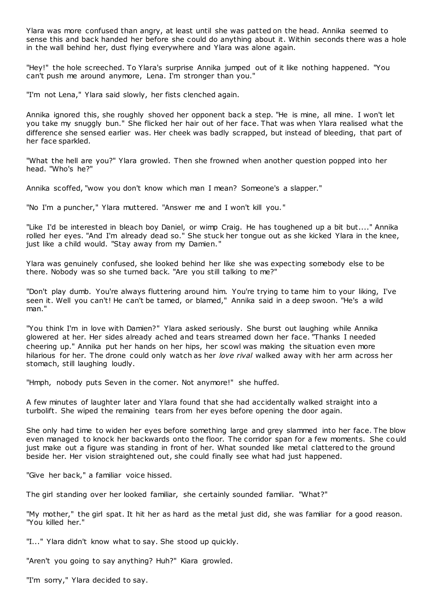Ylara was more confused than angry, at least until she was patted on the head. Annika seemed to sense this and back handed her before she could do anything about it. Within seconds there was a hole in the wall behind her, dust flying everywhere and Ylara was alone again.

"Hey!" the hole screeched. To Ylara's surprise Annika jumped out of it like nothing happened. "You can't push me around anymore, Lena. I'm stronger than you."

"I'm not Lena," Ylara said slowly, her fists clenched again.

Annika ignored this, she roughly shoved her opponent back a step. "He is mine, all mine. I won't let you take my snuggly bun." She flicked her hair out of her face. That was when Ylara realised what the difference she sensed earlier was. Her cheek was badly scrapped, but instead of bleeding, that part of her face sparkled.

"What the hell are you?" Ylara growled. Then she frowned when another question popped into her head. "Who's he?"

Annika scoffed, "wow you don't know which man I mean? Someone's a slapper."

"No I'm a puncher," Ylara muttered. "Answer me and I won't kill you."

"Like I'd be interested in bleach boy Daniel, or wimp Craig. He has toughened up a bit but...." Annika rolled her eyes. "And I'm already dead so." She stuck her tongue out as she kicked Ylara in the knee, just like a child would. "Stay away from my Damien."

Ylara was genuinely confused, she looked behind her like she was expecting somebody else to be there. Nobody was so she turned back. "Are you still talking to me?"

"Don't play dumb. You're always fluttering around him. You're trying to tame him to your liking, I've seen it. Well you can't! He can't be tamed, or blamed," Annika said in a deep swoon. "He's a wild man."

"You think I'm in love with Damien?" Ylara asked seriously. She burst out laughing while Annika glowered at her. Her sides already ached and tears streamed down her face. "Thanks I needed cheering up." Annika put her hands on her hips, her scowl was making the situation even more hilarious for her. The drone could only watch as her *love rival* walked away with her arm across her stomach, still laughing loudly.

"Hmph, nobody puts Seven in the corner. Not anymore!" she huffed.

A few minutes of laughter later and Ylara found that she had accidentally walked straight into a turbolift. She wiped the remaining tears from her eyes before opening the door again.

She only had time to widen her eyes before something large and grey slammed into her face. The blow even managed to knock her backwards onto the floor. The corridor span for a few moments. She could just make out a figure was standing in front of her. What sounded like metal clattered to the ground beside her. Her vision straightened out, she could finally see what had just happened.

"Give her back," a familiar voice hissed.

The girl standing over her looked familiar, she certainly sounded familiar. "What?"

"My mother," the girl spat. It hit her as hard as the metal just did, she was familiar for a good reason. "You killed her."

"I..." Ylara didn't know what to say. She stood up quickly.

"Aren't you going to say anything? Huh?" Kiara growled.

"I'm sorry," Ylara decided to say.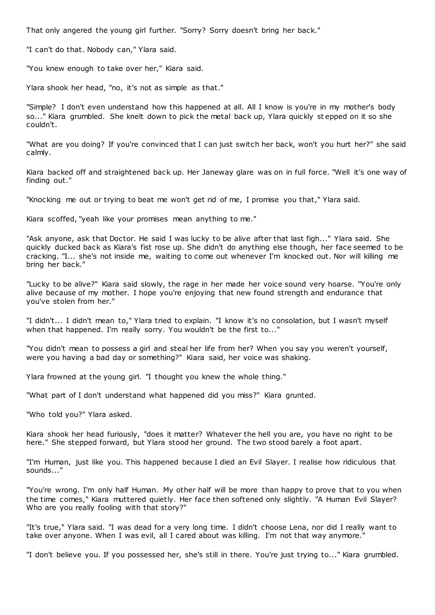That only angered the young girl further. "Sorry? Sorry doesn't bring her back."

"I can't do that. Nobody can," Ylara said.

"You knew enough to take over her," Kiara said.

Ylara shook her head, "no, it's not as simple as that."

"Simple? I don't even understand how this happened at all. All I know is you're in my mother's body so..." Kiara grumbled. She knelt down to pick the metal back up, Ylara quickly st epped on it so she couldn't.

"What are you doing? If you're convinced that I can just switch her back, won't you hurt her?" she said calmly.

Kiara backed off and straightened back up. Her Janeway glare was on in full force. "Well it's one way of finding out."

"Knocking me out or trying to beat me won't get rid of me, I promise you that," Ylara said.

Kiara scoffed, "yeah like your promises mean anything to me."

"Ask anyone, ask that Doctor. He said I was lucky to be alive after that last figh..." Ylara said. She quickly ducked back as Kiara's fist rose up. She didn't do anything else though, her face seemed to be cracking. "I... she's not inside me, waiting to come out whenever I'm knocked out. Nor will killing me bring her back."

"Lucky to be alive?" Kiara said slowly, the rage in her made her voice sound very hoarse. "You're only alive because of my mother. I hope you're enjoying that new found strength and endurance that you've stolen from her."

"I didn't... I didn't mean to," Ylara tried to explain. "I know it's no consolation, but I wasn't myself when that happened. I'm really sorry. You wouldn't be the first to..."

"You didn't mean to possess a girl and steal her life from her? When you say you weren't yourself, were you having a bad day or something?" Kiara said, her voice was shaking.

Ylara frowned at the young girl. "I thought you knew the whole thing."

"What part of I don't understand what happened did you miss?" Kiara grunted.

"Who told you?" Ylara asked.

Kiara shook her head furiously, "does it matter? Whatever the hell you are, you have no right to be here." She stepped forward, but Ylara stood her ground. The two stood barely a foot apart.

"I'm Human, just like you. This happened because I died an Evil Slayer. I realise how ridiculous that sounds..."

"You're wrong. I'm only half Human. My other half will be more than happy to prove that to you when the time comes," Kiara muttered quietly. Her face then softened only slightly. "A Human Evil Slayer? Who are you really fooling with that story?"

"It's true," Ylara said. "I was dead for a very long time. I didn't choose Lena, nor did I really want to take over anyone. When I was evil, all I cared about was killing. I'm not that way anymore.'

"I don't believe you. If you possessed her, she's still in there. You're just trying to..." Kiara grumbled.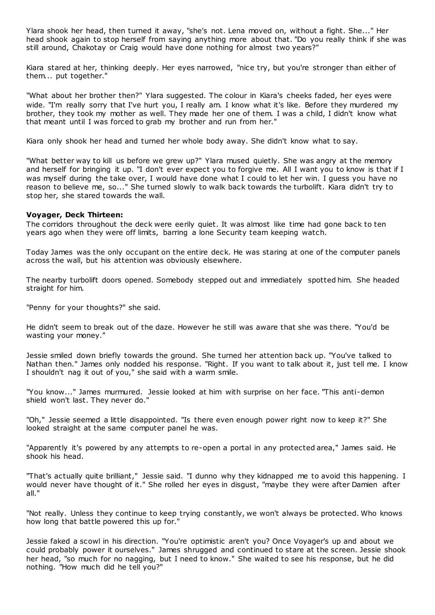Ylara shook her head, then turned it away, "she's not. Lena moved on, without a fight. She..." Her head shook again to stop herself from saying anything more about that. "Do you really think if she was still around, Chakotay or Craig would have done nothing for almost two years?"

Kiara stared at her, thinking deeply. Her eyes narrowed, "nice try, but you're stronger than either of them... put together."

"What about her brother then?" Ylara suggested. The colour in Kiara's cheeks faded, her eyes were wide. "I'm really sorry that I've hurt you, I really am. I know what it's like. Before they murdered my brother, they took my mother as well. They made her one of them. I was a child, I didn't know what that meant until I was forced to grab my brother and run from her."

Kiara only shook her head and turned her whole body away. She didn't know what to say.

"What better way to kill us before we grew up?" Ylara mused quietly. She was angry at the memory and herself for bringing it up. "I don't ever expect you to forgive me. All I want you to know is that if I was myself during the take over, I would have done what I could to let her win. I guess you have no reason to believe me, so..." She turned slowly to walk back towards the turbolift. Kiara didn't try to stop her, she stared towards the wall.

# **Voyager, Deck Thirteen:**

The corridors throughout the deck were eerily quiet. It was almost like time had gone back to ten years ago when they were off limits, barring a lone Security team keeping watch.

Today James was the only occupant on the entire deck. He was staring at one of the computer panels across the wall, but his attention was obviously elsewhere.

The nearby turbolift doors opened. Somebody stepped out and immediately spotted him. She headed straight for him.

"Penny for your thoughts?" she said.

He didn't seem to break out of the daze. However he still was aware that she was there. "You'd be wasting your money."

Jessie smiled down briefly towards the ground. She turned her attention back up. "You've talked to Nathan then." James only nodded his response. "Right. If you want to talk about it, just tell me. I know I shouldn't nag it out of you," she said with a warm smile.

"You know..." James murmured. Jessie looked at him with surprise on her face. "This anti-demon shield won't last. They never do."

"Oh," Jessie seemed a little disappointed. "Is there even enough power right now to keep it?" She looked straight at the same computer panel he was.

"Apparently it's powered by any attempts to re-open a portal in any protected area," James said. He shook his head.

"That's actually quite brilliant," Jessie said. "I dunno why they kidnapped me to avoid this happening. I would never have thought of it." She rolled her eyes in disgust, "maybe they were after Damien after all."

"Not really. Unless they continue to keep trying constantly, we won't always be protected. Who knows how long that battle powered this up for."

Jessie faked a scowl in his direction. "You're optimistic aren't you? Once Voyager's up and about we could probably power it ourselves." James shrugged and continued to stare at the screen. Jessie shook her head, "so much for no nagging, but I need to know." She waited to see his response, but he did nothing. "How much did he tell you?"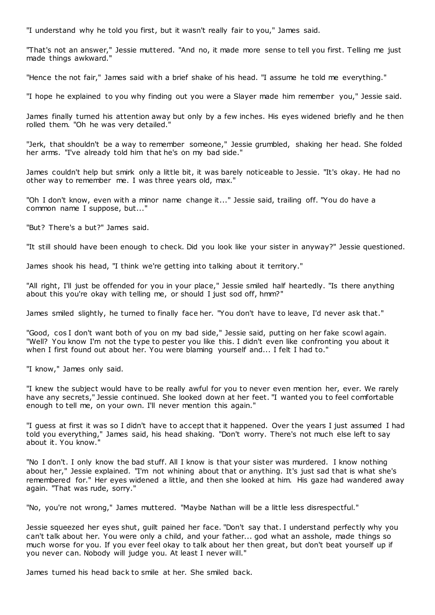"I understand why he told you first, but it wasn't really fair to you," James said.

"That's not an answer," Jessie muttered. "And no, it made more sense to tell you first. Telling me just made things awkward."

"Hence the not fair," James said with a brief shake of his head. "I assume he told me everything."

"I hope he explained to you why finding out you were a Slayer made him remember you," Jessie said.

James finally turned his attention away but only by a few inches. His eyes widened briefly and he then rolled them. "Oh he was very detailed."

"Jerk, that shouldn't be a way to remember someone," Jessie grumbled, shaking her head. She folded her arms. "I've already told him that he's on my bad side."

James couldn't help but smirk only a little bit, it was barely noticeable to Jessie. "It's okay. He had no other way to remember me. I was three years old, max."

"Oh I don't know, even with a minor name change it..." Jessie said, trailing off. "You do have a common name I suppose, but..."

"But? There's a but?" James said.

"It still should have been enough to check. Did you look like your sister in anyway?" Jessie questioned.

James shook his head, "I think we're getting into talking about it territory."

"All right, I'll just be offended for you in your place," Jessie smiled half heartedly. "Is there anything about this you're okay with telling me, or should I just sod off, hmm?"

James smiled slightly, he turned to finally face her. "You don't have to leave, I'd never ask that."

"Good, cos I don't want both of you on my bad side," Jessie said, putting on her fake scowl again. "Well? You know I'm not the type to pester you like this. I didn't even like confronting you about it when I first found out about her. You were blaming yourself and... I felt I had to."

"I know," James only said.

"I knew the subject would have to be really awful for you to never even mention her, ever. We rarely have any secrets," Jessie continued. She looked down at her feet. "I wanted you to feel comfortable enough to tell me, on your own. I'll never mention this again."

"I guess at first it was so I didn't have to accept that it happened. Over the years I just assumed I had told you everything," James said, his head shaking. "Don't worry. There's not much else left to say about it. You know.

"No I don't. I only know the bad stuff. All I know is that your sister was murdered. I know nothing about her," Jessie explained. "I'm not whining about that or anything. It's just sad that is what she's remembered for." Her eyes widened a little, and then she looked at him. His gaze had wandered away again. "That was rude, sorry."

"No, you're not wrong," James muttered. "Maybe Nathan will be a little less disrespectful."

Jessie squeezed her eyes shut, guilt pained her face. "Don't say that. I understand perfectly why you can't talk about her. You were only a child, and your father... god what an asshole, made things so much worse for you. If you ever feel okay to talk about her then great, but don't beat yourself up if you never can. Nobody will judge you. At least I never will."

James turned his head back to smile at her. She smiled back.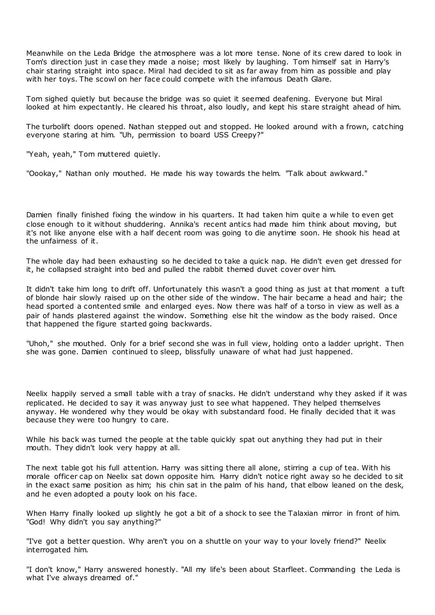Meanwhile on the Leda Bridge the atmosphere was a lot more tense. None of its crew dared to look in Tom's direction just in case they made a noise; most likely by laughing. Tom himself sat in Harry's chair staring straight into space. Miral had decided to sit as far away from him as possible and play with her toys. The scowl on her face could compete with the infamous Death Glare.

Tom sighed quietly but because the bridge was so quiet it seemed deafening. Everyone but Miral looked at him expectantly. He cleared his throat, also loudly, and kept his stare straight ahead of him.

The turbolift doors opened. Nathan stepped out and stopped. He looked around with a frown, catching everyone staring at him. "Uh, permission to board USS Creepy?"

"Yeah, yeah," Tom muttered quietly.

"Oookay," Nathan only mouthed. He made his way towards the helm. "Talk about awkward."

Damien finally finished fixing the window in his quarters. It had taken him quite a while to even get close enough to it without shuddering. Annika's recent antics had made him think about moving, but it's not like anyone else with a half decent room was going to die anytime soon. He shook his head at the unfairness of it.

The whole day had been exhausting so he decided to take a quick nap. He didn't even get dressed for it, he collapsed straight into bed and pulled the rabbit themed duvet cover over him.

It didn't take him long to drift off. Unfortunately this wasn't a good thing as just at that moment a tuft of blonde hair slowly raised up on the other side of the window. The hair became a head and hair; the head sported a contented smile and enlarged eyes. Now there was half of a torso in view as well as a pair of hands plastered against the window. Something else hit the window as the body raised. Once that happened the figure started going backwards.

"Uhoh," she mouthed. Only for a brief second she was in full view, holding onto a ladder upright. Then she was gone. Damien continued to sleep, blissfully unaware of what had just happened.

Neelix happily served a small table with a tray of snacks. He didn't understand why they asked if it was replicated. He decided to say it was anyway just to see what happened. They helped themselves anyway. He wondered why they would be okay with substandard food. He finally decided that it was because they were too hungry to care.

While his back was turned the people at the table quickly spat out anything they had put in their mouth. They didn't look very happy at all.

The next table got his full attention. Harry was sitting there all alone, stirring a cup of tea. With his morale officer cap on Neelix sat down opposite him. Harry didn't notice right away so he decided to sit in the exact same position as him; his chin sat in the palm of his hand, that elbow leaned on the desk, and he even adopted a pouty look on his face.

When Harry finally looked up slightly he got a bit of a shock to see the Talaxian mirror in front of him. "God! Why didn't you say anything?"

"I've got a better question. Why aren't you on a shuttle on your way to your lovely friend?" Neelix interrogated him.

"I don't know," Harry answered honestly. "All my life's been about Starfleet. Commanding the Leda is what I've always dreamed of."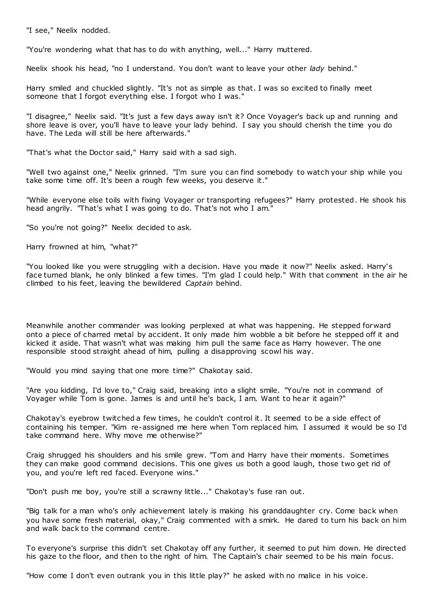"I see," Neelix nodded.

"You're wondering what that has to do with anything, well..." Harry muttered.

Neelix shook his head, "no I understand. You don't want to leave your other *lady* behind."

Harry smiled and chuckled slightly. "It's not as simple as that. I was so excited to finally meet someone that I forgot everything else. I forgot who I was."

"I disagree," Neelix said. "It's just a few days away isn't it? Once Voyager's back up and running and shore leave is over, you'll have to leave your lady behind. I say you should cherish the time you do have. The Leda will still be here afterwards."

"That's what the Doctor said," Harry said with a sad sigh.

"Well two against one," Neelix grinned. "I'm sure you can find somebody to watch your ship while you take some time off. It's been a rough few weeks, you deserve it."

"While everyone else toils with fixing Voyager or transporting refugees?" Harry protested. He shook his head angrily. "That's what I was going to do. That's not who I am."

"So you're not going?" Neelix decided to ask.

Harry frowned at him, "what?"

"You looked like you were struggling with a decision. Have you made it now?" Neelix asked. Harry's face turned blank, he only blinked a few times. "I'm glad I could help." With that comment in the air he climbed to his feet, leaving the bewildered *Captain* behind.

Meanwhile another commander was looking perplexed at what was happening. He stepped forward onto a piece of charred metal by accident. It only made him wobble a bit before he stepped off it and kicked it aside. That wasn't what was making him pull the same face as Harry however. The one responsible stood straight ahead of him, pulling a disapproving scowl his way.

"Would you mind saying that one more time?" Chakotay said.

"Are you kidding, I'd love to," Craig said, breaking into a slight smile. "You're not in command of Voyager while Tom is gone. James is and until he's back, I am. Want to hear it again?"

Chakotay's eyebrow twitched a few times, he couldn't control it. It seemed to be a side effect of containing his temper. "Kim re-assigned me here when Tom replaced him. I assumed it would be so I'd take command here. Why move me otherwise?"

Craig shrugged his shoulders and his smile grew. "Tom and Harry have their moments. Sometimes they can make good command decisions. This one gives us both a good laugh, those two get rid of you, and you're left red faced. Everyone wins."

"Don't push me boy, you're still a scrawny little..." Chakotay's fuse ran out.

"Big talk for a man who's only achievement lately is making his granddaughter cry. Come back when you have some fresh material, okay," Craig commented with a smirk. He dared to turn his back on him and walk back to the command centre.

To everyone's surprise this didn't set Chakotay off any further, it seemed to put him down. He directed his gaze to the floor, and then to the right of him. The Captain's chair seemed to be his main focus.

"How come I don't even outrank you in this little play?" he asked with no malice in his voice.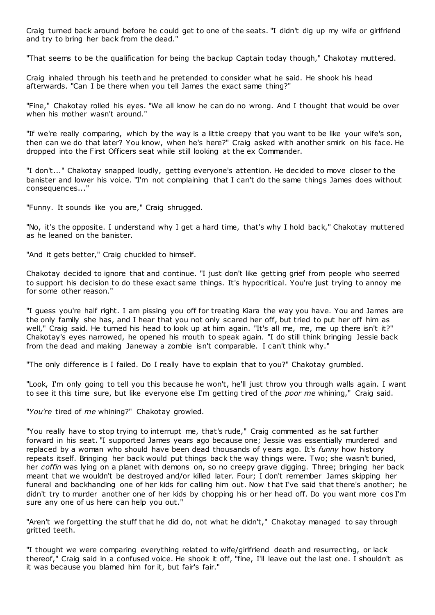Craig turned back around before he could get to one of the seats. "I didn't dig up my wife or girlfriend and try to bring her back from the dead."

"That seems to be the qualification for being the backup Captain today though," Chakotay muttered.

Craig inhaled through his teeth and he pretended to consider what he said. He shook his head afterwards. "Can I be there when you tell James the exact same thing?"

"Fine," Chakotay rolled his eyes. "We all know he can do no wrong. And I thought that would be over when his mother wasn't around."

"If we're really comparing, which by the way is a little creepy that you want to be like your wife's son, then can we do that later? You know, when he's here?" Craig asked with another smirk on his face. He dropped into the First Officers seat while still looking at the ex Commander.

"I don't..." Chakotay snapped loudly, getting everyone's attention. He decided to move closer to the banister and lower his voice. "I'm not complaining that I can't do the same things James does without consequences..."

"Funny. It sounds like you are," Craig shrugged.

"No, it's the opposite. I understand why I get a hard time, that's why I hold back," Chakotay muttered as he leaned on the banister.

"And it gets better," Craig chuckled to himself.

Chakotay decided to ignore that and continue. "I just don't like getting grief from people who seemed to support his decision to do these exact same things. It's hypocritical. You're just trying to annoy me for some other reason."

"I guess you're half right. I am pissing you off for treating Kiara the way you have. You and James are the only family she has, and I hear that you not only scared her off, but tried to put her off him as well," Craig said. He turned his head to look up at him again. "It's all me, me, me up there isn't it?" Chakotay's eyes narrowed, he opened his mouth to speak again. "I do still think bringing Jessie back from the dead and making Janeway a zombie isn't comparable. I can't think why."

"The only difference is I failed. Do I really have to explain that to you?" Chakotay grumbled.

"Look, I'm only going to tell you this because he won't, he'll just throw you through walls again. I want to see it this time sure, but like everyone else I'm getting tired of the *poor me* whining," Craig said.

"*You're* tired of *me* whining?" Chakotay growled.

"You really have to stop trying to interrupt me, that's rude," Craig commented as he sat further forward in his seat. "I supported James years ago because one; Jessie was essentially murdered and replaced by a woman who should have been dead thousands of years ago. It's *funny* how history repeats itself. Bringing her back would put things back the way things were. Two; she wasn't buried, her *coffin* was lying on a planet with demons on, so no creepy grave digging. Three; bringing her back meant that we wouldn't be destroyed and/or killed later. Four; I don't remember James skipping her funeral and backhanding one of her kids for calling him out. Now that I've said that there's another; he didn't try to murder another one of her kids by chopping his or her head off. Do you want more cos I'm sure any one of us here can help you out."

"Aren't we forgetting the stuff that he did do, not what he didn't," Chakotay managed to say through gritted teeth.

"I thought we were comparing everything related to wife/girlfriend death and resurrecting, or lack thereof," Craig said in a confused voice. He shook it off, "fine, I'll leave out the last one. I shouldn't as it was because you blamed him for it, but fair's fair."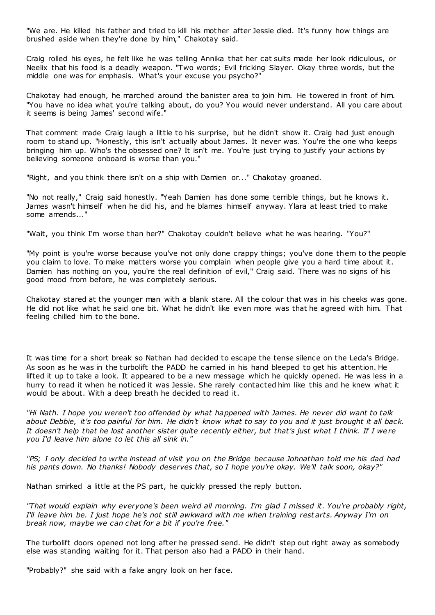"We are. He killed his father and tried to kill his mother after Jessie died. It's funny how things are brushed aside when they're done by him," Chakotay said.

Craig rolled his eyes, he felt like he was telling Annika that her cat suits made her look ridiculous, or Neelix that his food is a deadly weapon. "Two words; Evil fricking Slayer. Okay three words, but the middle one was for emphasis. What's your excuse you psycho?"

Chakotay had enough, he marched around the banister area to join him. He towered in front of him. "You have no idea what you're talking about, do you? You would never understand. All you care about it seems is being James' second wife."

That comment made Craig laugh a little to his surprise, but he didn't show it. Craig had just enough room to stand up. "Honestly, this isn't actually about James. It never was. You're the one who keeps bringing him up. Who's the obsessed one? It isn't me. You're just trying to justify your actions by believing someone onboard is worse than you."

"Right, and you think there isn't on a ship with Damien or..." Chakotay groaned.

"No not really," Craig said honestly. "Yeah Damien has done some terrible things, but he knows it. James wasn't himself when he did his, and he blames himself anyway. Ylara at least tried to make some amends..."

"Wait, you think I'm worse than her?" Chakotay couldn't believe what he was hearing. "You?"

"My point is you're worse because you've not only done crappy things; you've done them to the people you claim to love. To make matters worse you complain when people give you a hard time about it. Damien has nothing on you, you're the real definition of evil," Craig said. There was no signs of his good mood from before, he was completely serious.

Chakotay stared at the younger man with a blank stare. All the colour that was in his cheeks was gone. He did not like what he said one bit. What he didn't like even more was that he agreed with him. That feeling chilled him to the bone.

It was time for a short break so Nathan had decided to escape the tense silence on the Leda's Bridge. As soon as he was in the turbolift the PADD he carried in his hand bleeped to get his attention. He lifted it up to take a look. It appeared to be a new message which he quickly opened. He was less in a hurry to read it when he noticed it was Jessie. She rarely contacted him like this and he knew what it would be about. With a deep breath he decided to read it.

*"Hi Nath. I hope you weren't too offended by what happened with James. He never did want to talk about Debbie, it's too painful for him. He didn't know what to say to you and it just brought it all back. It doesn't help that he lost another sister quite recently either, but that's just what I think. If I were you I'd leave him alone to let this all sink in."*

*"PS; I only decided to write instead of visit you on the Bridge because Johnathan told me his dad had his pants down. No thanks! Nobody deserves that, so I hope you're okay. We'll talk soon, okay?"*

Nathan smirked a little at the PS part, he quickly pressed the reply button.

*"That would explain why everyone's been weird all morning. I'm glad I missed it. You're probably right, I'll leave him be. I just hope he's not still awkward with me when training rest arts. Anyway I'm on break now, maybe we can chat for a bit if you're free."*

The turbolift doors opened not long after he pressed send. He didn't step out right away as somebody else was standing waiting for it. That person also had a PADD in their hand.

"Probably?" she said with a fake angry look on her face.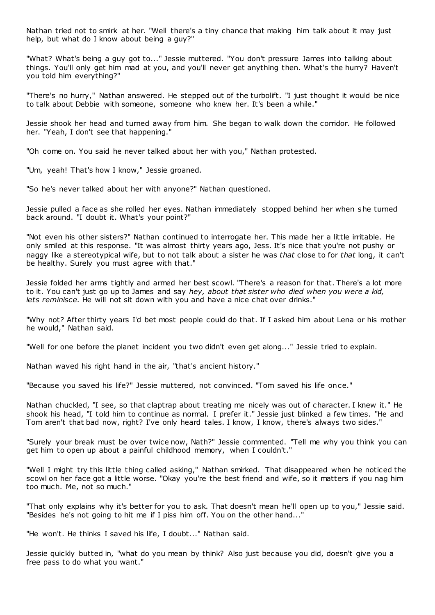Nathan tried not to smirk at her. "Well there's a tiny chance that making him talk about it may just help, but what do I know about being a guy?"

"What? What's being a guy got to..." Jessie muttered. "You don't pressure James into talking about things. You'll only get him mad at you, and you'll never get anything then. What's the hurry? Haven't you told him everything?"

"There's no hurry," Nathan answered. He stepped out of the turbolift. "I just thought it would be nice to talk about Debbie with someone, someone who knew her. It's been a while."

Jessie shook her head and turned away from him. She began to walk down the corridor. He followed her. "Yeah, I don't see that happening."

"Oh come on. You said he never talked about her with you," Nathan protested.

"Um, yeah! That's how I know," Jessie groaned.

"So he's never talked about her with anyone?" Nathan questioned.

Jessie pulled a face as she rolled her eyes. Nathan immediately stopped behind her when she turned back around. "I doubt it. What's your point?"

"Not even his other sisters?" Nathan continued to interrogate her. This made her a little irritable. He only smiled at this response. "It was almost thirty years ago, Jess. It's nice that you're not pushy or naggy like a stereotypical wife, but to not talk about a sister he was *that* close to for *that* long, it can't be healthy. Surely you must agree with that."

Jessie folded her arms tightly and armed her best scowl. "There's a reason for that. There's a lot more to it. You can't just go up to James and say *hey, about that sister who died when you were a kid, lets reminisce.* He will not sit down with you and have a nice chat over drinks."

"Why not? After thirty years I'd bet most people could do that. If I asked him about Lena or his mother he would," Nathan said.

"Well for one before the planet incident you two didn't even get along..." Jessie tried to explain.

Nathan waved his right hand in the air, "that's ancient history."

"Because you saved his life?" Jessie muttered, not convinced. "Tom saved his life once."

Nathan chuckled, "I see, so that claptrap about treating me nicely was out of character. I knew it." He shook his head, "I told him to continue as normal. I prefer it." Jessie just blinked a few times. "He and Tom aren't that bad now, right? I've only heard tales. I know, I know, there's always two sides."

"Surely your break must be over twice now, Nath?" Jessie commented. "Tell me why you think you can get him to open up about a painful childhood memory, when I couldn't."

"Well I might try this little thing called asking," Nathan smirked. That disappeared when he noticed the scowl on her face got a little worse. "Okay you're the best friend and wife, so it matters if you nag him too much. Me, not so much."

"That only explains why it's better for you to ask. That doesn't mean he'll open up to you," Jessie said. "Besides he's not going to hit me if I piss him off. You on the other hand..."

"He won't. He thinks I saved his life, I doubt..." Nathan said.

Jessie quickly butted in, "what do you mean by think? Also just because you did, doesn't give you a free pass to do what you want."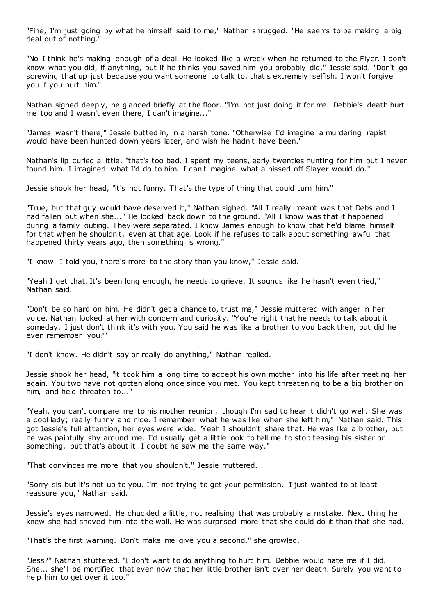"Fine, I'm just going by what he himself said to me," Nathan shrugged. "He seems to be making a big deal out of nothing."

"No I think he's making enough of a deal. He looked like a wreck when he returned to the Flyer. I don't know what you did, if anything, but if he thinks you saved him you probably did," Jessie said. "Don't go screwing that up just because you want someone to talk to, that's extremely selfish. I won't forgive you if you hurt him."

Nathan sighed deeply, he glanced briefly at the floor. "I'm not just doing it for me. Debbie's death hurt me too and I wasn't even there, I can't imagine..."

"James wasn't there," Jessie butted in, in a harsh tone. "Otherwise I'd imagine a murdering rapist would have been hunted down years later, and wish he hadn't have been."

Nathan's lip curled a little, "that's too bad. I spent my teens, early twenties hunting for him but I never found him. I imagined what I'd do to him. I can't imagine what a pissed off Slayer would do."

Jessie shook her head, "it's not funny. That's the type of thing that could turn him."

"True, but that guy would have deserved it," Nathan sighed. "All I really meant was that Debs and I had fallen out when she..." He looked back down to the ground. "All I know was that it happened during a family outing. They were separated. I know James enough to know that he'd blame himself for that when he shouldn't, even at that age. Look if he refuses to talk about something awful that happened thirty years ago, then something is wrong."

"I know. I told you, there's more to the story than you know," Jessie said.

"Yeah I get that. It's been long enough, he needs to grieve. It sounds like he hasn't even tried," Nathan said.

"Don't be so hard on him. He didn't get a chance to, trust me," Jessie muttered with anger in her voice. Nathan looked at her with concern and curiosity. "You're right that he needs to talk about it someday. I just don't think it's with you. You said he was like a brother to you back then, but did he even remember you?"

"I don't know. He didn't say or really do anything," Nathan replied.

Jessie shook her head, "it took him a long time to accept his own mother into his life after meeting her again. You two have not gotten along once since you met. You kept threatening to be a big brother on him, and he'd threaten to..."

"Yeah, you can't compare me to his mother reunion, though I'm sad to hear it didn't go well. She was a cool lady; really funny and nice. I remember what he was like when she left him," Nathan said. This got Jessie's full attention, her eyes were wide. "Yeah I shouldn't share that. He was like a brother, but he was painfully shy around me. I'd usually get a little look to tell me to stop teasing his sister or something, but that's about it. I doubt he saw me the same way."

"That convinces me more that you shouldn't," Jessie muttered.

"Sorry sis but it's not up to you. I'm not trying to get your permission, I just wanted to at least reassure you," Nathan said.

Jessie's eyes narrowed. He chuckled a little, not realising that was probably a mistake. Next thing he knew she had shoved him into the wall. He was surprised more that she could do it than that she had.

"That's the first warning. Don't make me give you a second," she growled.

"Jess?" Nathan stuttered. "I don't want to do anything to hurt him. Debbie would hate me if I did. She... she'll be mortified that even now that her little brother isn't over her death. Surely you want to help him to get over it too."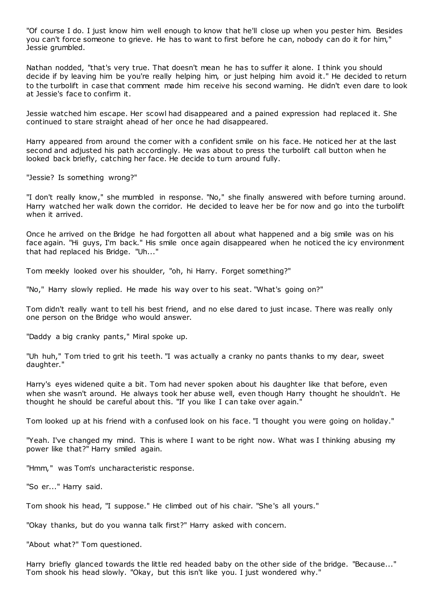"Of course I do. I just know him well enough to know that he'll close up when you pester him. Besides you can't force someone to grieve. He has to want to first before he can, nobody can do it for him," Jessie grumbled.

Nathan nodded, "that's very true. That doesn't mean he has to suffer it alone. I think you should decide if by leaving him be you're really helping him, or just helping him avoid it." He decided to return to the turbolift in case that comment made him receive his second warning. He didn't even dare to look at Jessie's face to confirm it.

Jessie watched him escape. Her scowl had disappeared and a pained expression had replaced it. She continued to stare straight ahead of her once he had disappeared.

Harry appeared from around the corner with a confident smile on his face. He noticed her at the last second and adjusted his path accordingly. He was about to press the turbolift call button when he looked back briefly, catching her face. He decide to turn around fully.

"Jessie? Is something wrong?"

"I don't really know," she mumbled in response. "No," she finally answered with before turning around. Harry watched her walk down the corridor. He decided to leave her be for now and go into the turbolift when it arrived.

Once he arrived on the Bridge he had forgotten all about what happened and a big smile was on his face again. "Hi guys, I'm back." His smile once again disappeared when he noticed the icy environment that had replaced his Bridge. "Uh..."

Tom meekly looked over his shoulder, "oh, hi Harry. Forget something?"

"No," Harry slowly replied. He made his way over to his seat. "What's going on?"

Tom didn't really want to tell his best friend, and no else dared to just incase. There was really only one person on the Bridge who would answer.

"Daddy a big cranky pants," Miral spoke up.

"Uh huh," Tom tried to grit his teeth. "I was actually a cranky no pants thanks to my dear, sweet daughter."

Harry's eyes widened quite a bit. Tom had never spoken about his daughter like that before, even when she wasn't around. He always took her abuse well, even though Harry thought he shouldn't. He thought he should be careful about this. "If you like I can take over again."

Tom looked up at his friend with a confused look on his face. "I thought you were going on holiday."

"Yeah. I've changed my mind. This is where I want to be right now. What was I thinking abusing my power like that?" Harry smiled again.

"Hmm," was Tom's uncharacteristic response.

"So er..." Harry said.

Tom shook his head, "I suppose." He climbed out of his chair. "She's all yours."

"Okay thanks, but do you wanna talk first?" Harry asked with concern.

"About what?" Tom questioned.

Harry briefly glanced towards the little red headed baby on the other side of the bridge. "Because..." Tom shook his head slowly. "Okay, but this isn't like you. I just wondered why."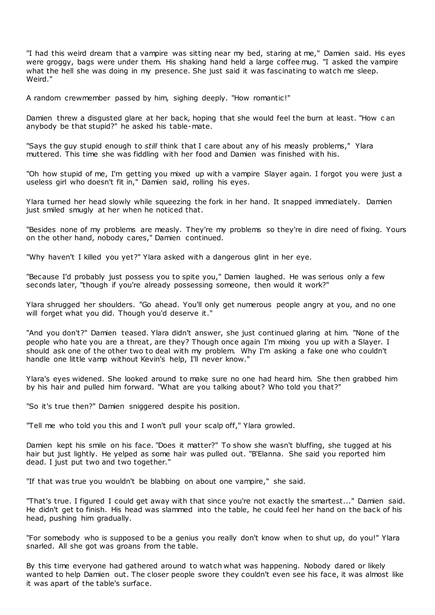"I had this weird dream that a vampire was sitting near my bed, staring at me," Damien said. His eyes were groggy, bags were under them. His shaking hand held a large coffee mug. "I asked the vampire what the hell she was doing in my presence. She just said it was fascinating to watch me sleep. Weird."

A random crewmember passed by him, sighing deeply. "How romantic!"

Damien threw a disgusted glare at her back, hoping that she would feel the burn at least. "How c an anybody be that stupid?" he asked his table-mate.

"Says the guy stupid enough to *still* think that I care about any of his measly problems," Ylara muttered. This time she was fiddling with her food and Damien was finished with his.

"Oh how stupid of me, I'm getting you mixed up with a vampire Slayer again. I forgot you were just a useless girl who doesn't fit in," Damien said, rolling his eyes.

Ylara turned her head slowly while squeezing the fork in her hand. It snapped immediately. Damien just smiled smugly at her when he noticed that.

"Besides none of my problems are measly. They're my problems so they're in dire need of fixing. Yours on the other hand, nobody cares," Damien continued.

"Why haven't I killed you yet?" Ylara asked with a dangerous glint in her eye.

"Because I'd probably just possess you to spite you," Damien laughed. He was serious only a few seconds later, "though if you're already possessing someone, then would it work?"

Ylara shrugged her shoulders. "Go ahead. You'll only get numerous people angry at you, and no one will forget what you did. Though you'd deserve it."

"And you don't?" Damien teased. Ylara didn't answer, she just continued glaring at him. "None of the people who hate you are a threat, are they? Though once again I'm mixing you up with a Slayer. I should ask one of the other two to deal with my problem. Why I'm asking a fake one who couldn't handle one little vamp without Kevin's help, I'll never know."

Ylara's eyes widened. She looked around to make sure no one had heard him. She then grabbed him by his hair and pulled him forward. "What are you talking about? Who told you that?"

"So it's true then?" Damien sniggered despite his position.

"Tell me who told you this and I won't pull your scalp off," Ylara growled.

Damien kept his smile on his face. "Does it matter?" To show she wasn't bluffing, she tugged at his hair but just lightly. He yelped as some hair was pulled out. "B'Elanna. She said you reported him dead. I just put two and two together."

"If that was true you wouldn't be blabbing on about one vampire," she said.

"That's true. I figured I could get away with that since you're not exactly the smartest..." Damien said. He didn't get to finish. His head was slammed into the table, he could feel her hand on the back of his head, pushing him gradually.

"For somebody who is supposed to be a genius you really don't know when to shut up, do you!" Ylara snarled. All she got was groans from the table.

By this time everyone had gathered around to watch what was happening. Nobody dared or likely wanted to help Damien out. The closer people swore they couldn't even see his face, it was almost like it was apart of the table's surface.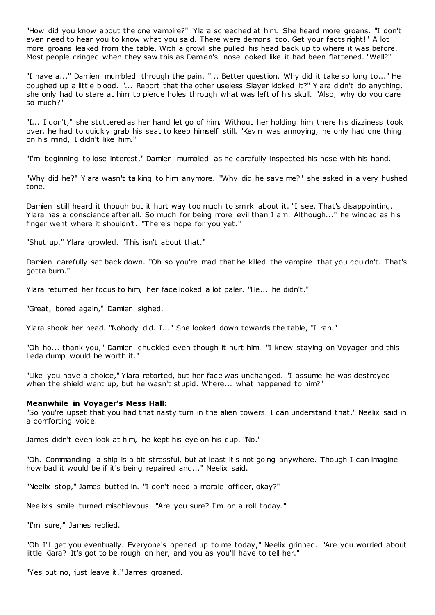"How did you know about the one vampire?" Ylara screeched at him. She heard more groans. "I don't even need to hear you to know what you said. There were demons too. Get your facts right!" A lot more groans leaked from the table. With a growl she pulled his head back up to where it was before. Most people cringed when they saw this as Damien's nose looked like it had been flattened. "Well?"

"I have a..." Damien mumbled through the pain. "... Better question. Why did it take so long to..." He coughed up a little blood. "... Report that the other useless Slayer kicked it?" Ylara didn't do anything, she only had to stare at him to pierce holes through what was left of his skull. "Also, why do you care so much?"

"I... I don't," she stuttered as her hand let go of him. Without her holding him there his dizziness took over, he had to quickly grab his seat to keep himself still. "Kevin was annoying, he only had one thing on his mind, I didn't like him."

"I'm beginning to lose interest," Damien mumbled as he carefully inspected his nose with his hand.

"Why did he?" Ylara wasn't talking to him anymore. "Why did he save me?" she asked in a very hushed tone.

Damien still heard it though but it hurt way too much to smirk about it. "I see. That's disappointing. Ylara has a conscience after all. So much for being more evil than I am. Although..." he winced as his finger went where it shouldn't. "There's hope for you yet."

"Shut up," Ylara growled. "This isn't about that."

Damien carefully sat back down. "Oh so you're mad that he killed the vampire that you couldn't. That's gotta burn."

Ylara returned her focus to him, her face looked a lot paler. "He... he didn't."

"Great, bored again," Damien sighed.

Ylara shook her head. "Nobody did. I..." She looked down towards the table, "I ran."

"Oh ho... thank you," Damien chuckled even though it hurt him. "I knew staying on Voyager and this Leda dump would be worth it."

"Like you have a choice," Ylara retorted, but her face was unchanged. "I assume he was destroyed when the shield went up, but he wasn't stupid. Where... what happened to him?"

#### **Meanwhile in Voyager's Mess Hall:**

"So you're upset that you had that nasty turn in the alien towers. I can understand that," Neelix said in a comforting voice.

James didn't even look at him, he kept his eye on his cup. "No."

"Oh. Commanding a ship is a bit stressful, but at least it's not going anywhere. Though I can imagine how bad it would be if it's being repaired and..." Neelix said.

"Neelix stop," James butted in. "I don't need a morale officer, okay?"

Neelix's smile turned mischievous. "Are you sure? I'm on a roll today."

"I'm sure," James replied.

"Oh I'll get you eventually. Everyone's opened up to me today," Neelix grinned. "Are you worried about little Kiara? It's got to be rough on her, and you as you'll have to tell her."

"Yes but no, just leave it," James groaned.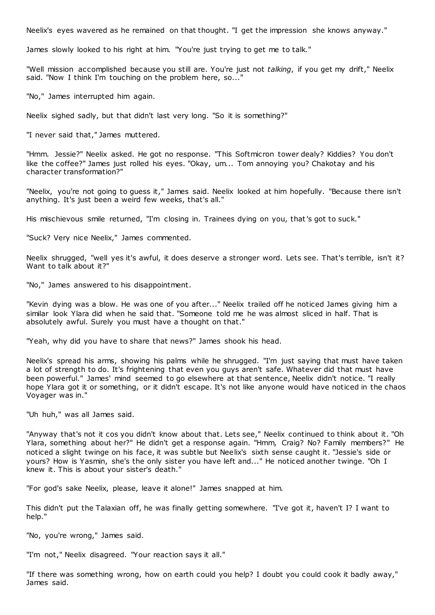Neelix's eyes wavered as he remained on that thought. "I get the impression she knows anyway."

James slowly looked to his right at him. "You're just trying to get me to talk."

"Well mission accomplished because you still are. You're just not *talking*, if you get my drift," Neelix said. "Now I think I'm touching on the problem here, so..."

"No," James interrupted him again.

Neelix sighed sadly, but that didn't last very long. "So it is something?"

"I never said that," James muttered.

"Hmm. Jessie?" Neelix asked. He got no response. "This Softmicron tower dealy? Kiddies? You don't like the coffee?" James just rolled his eyes. "Okay, um... Tom annoying you? Chakotay and his character transformation?"

"Neelix, you're not going to guess it," James said. Neelix looked at him hopefully. "Because there isn't anything. It's just been a weird few weeks, that's all."

His mischievous smile returned, "I'm closing in. Trainees dying on you, that's got to suck."

"Suck? Very nice Neelix," James commented.

Neelix shrugged, "well yes it's awful, it does deserve a stronger word. Lets see. That's terrible, isn't it? Want to talk about it?"

"No," James answered to his disappointment.

"Kevin dying was a blow. He was one of you after..." Neelix trailed off he noticed James giving him a similar look Ylara did when he said that. "Someone told me he was almost sliced in half. That is absolutely awful. Surely you must have a thought on that."

"Yeah, why did you have to share that news?" James shook his head.

Neelix's spread his arms, showing his palms while he shrugged. "I'm just saying that must have taken a lot of strength to do. It's frightening that even you guys aren't safe. Whatever did that must have been powerful." James' mind seemed to go elsewhere at that sentence, Neelix didn't notice. "I really hope Ylara got it or something, or it didn't escape. It's not like anyone would have noticed in the chaos Voyager was in."

"Uh huh," was all James said.

"Anyway that's not it cos you didn't know about that. Lets see," Neelix continued to think about it. "Oh Ylara, something about her?" He didn't get a response again. "Hmm, Craig? No? Family members?" He noticed a slight twinge on his face, it was subtle but Neelix's sixth sense caught it. "Jessie's side or yours? How is Yasmin, she's the only sister you have left and..." He noticed another twinge. "Oh I knew it. This is about your sister's death."

"For god's sake Neelix, please, leave it alone!" James snapped at him.

This didn't put the Talaxian off, he was finally getting somewhere. "I've got it, haven't I? I want to help."

"No, you're wrong," James said.

"I'm not," Neelix disagreed. "Your reaction says it all."

"If there was something wrong, how on earth could you help? I doubt you could cook it badly away," James said.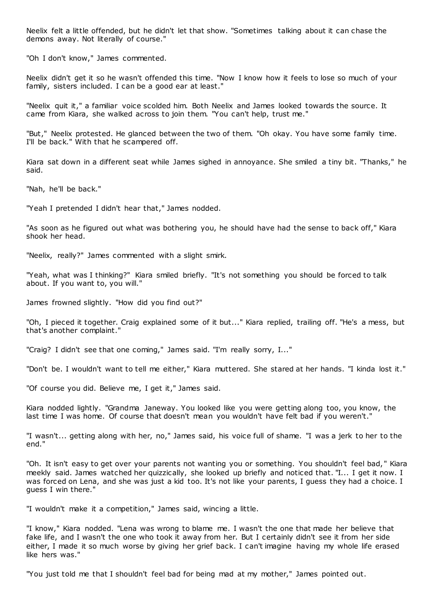Neelix felt a little offended, but he didn't let that show. "Sometimes talking about it can chase the demons away. Not literally of course."

"Oh I don't know," James commented.

Neelix didn't get it so he wasn't offended this time. "Now I know how it feels to lose so much of your family, sisters included. I can be a good ear at least."

"Neelix quit it," a familiar voice scolded him. Both Neelix and James looked towards the source. It came from Kiara, she walked across to join them. "You can't help, trust me."

"But," Neelix protested. He glanced between the two of them. "Oh okay. You have some family time. I'll be back." With that he scampered off.

Kiara sat down in a different seat while James sighed in annoyance. She smiled a tiny bit. "Thanks," he said.

"Nah, he'll be back."

"Yeah I pretended I didn't hear that," James nodded.

"As soon as he figured out what was bothering you, he should have had the sense to back off," Kiara shook her head.

"Neelix, really?" James commented with a slight smirk.

"Yeah, what was I thinking?" Kiara smiled briefly. "It's not something you should be forced to talk about. If you want to, you will."

James frowned slightly. "How did you find out?"

"Oh, I pieced it together. Craig explained some of it but..." Kiara replied, trailing off. "He's a mess, but that's another complaint."

"Craig? I didn't see that one coming," James said. "I'm really sorry, I..."

"Don't be. I wouldn't want to tell me either," Kiara muttered. She stared at her hands. "I kinda lost it."

"Of course you did. Believe me, I get it," James said.

Kiara nodded lightly. "Grandma Janeway. You looked like you were getting along too, you know, the last time I was home. Of course that doesn't mean you wouldn't have felt bad if you weren't."

"I wasn't... getting along with her, no," James said, his voice full of shame. "I was a jerk to her to the end."

"Oh. It isn't easy to get over your parents not wanting you or something. You shouldn't feel bad, " Kiara meekly said. James watched her quizzically, she looked up briefly and noticed that. "I... I get it now. I was forced on Lena, and she was just a kid too. It's not like your parents, I guess they had a choice. I guess I win there."

"I wouldn't make it a competition," James said, wincing a little.

"I know," Kiara nodded. "Lena was wrong to blame me. I wasn't the one that made her believe that fake life, and I wasn't the one who took it away from her. But I certainly didn't see it from her side either, I made it so much worse by giving her grief back. I can't imagine having my whole life erased like hers was."

"You just told me that I shouldn't feel bad for being mad at my mother," James pointed out.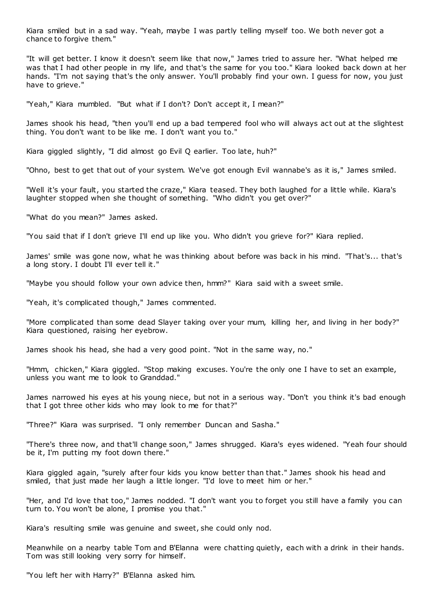Kiara smiled but in a sad way. "Yeah, maybe I was partly telling myself too. We both never got a chance to forgive them."

"It will get better. I know it doesn't seem like that now," James tried to assure her. "What helped me was that I had other people in my life, and that's the same for you too." Kiara looked back down at her hands. "I'm not saying that's the only answer. You'll probably find your own. I guess for now, you just have to grieve."

"Yeah," Kiara mumbled. "But what if I don't? Don't accept it, I mean?"

James shook his head, "then you'll end up a bad tempered fool who will always act out at the slightest thing. You don't want to be like me. I don't want you to."

Kiara giggled slightly, "I did almost go Evil Q earlier. Too late, huh?"

"Ohno, best to get that out of your system. We've got enough Evil wannabe's as it is," James smiled.

"Well it's your fault, you started the craze," Kiara teased. They both laughed for a little while. Kiara's laughter stopped when she thought of something. "Who didn't you get over?"

"What do you mean?" James asked.

"You said that if I don't grieve I'll end up like you. Who didn't you grieve for?" Kiara replied.

James' smile was gone now, what he was thinking about before was back in his mind. "That's... that's a long story. I doubt I'll ever tell it."

"Maybe you should follow your own advice then, hmm?" Kiara said with a sweet smile.

"Yeah, it's complicated though," James commented.

"More complicated than some dead Slayer taking over your mum, killing her, and living in her body?" Kiara questioned, raising her eyebrow.

James shook his head, she had a very good point. "Not in the same way, no."

"Hmm, chicken," Kiara giggled. "Stop making excuses. You're the only one I have to set an example, unless you want me to look to Granddad."

James narrowed his eyes at his young niece, but not in a serious way. "Don't you think it's bad enough that I got three other kids who may look to me for that?"

"Three?" Kiara was surprised. "I only remember Duncan and Sasha."

"There's three now, and that'll change soon," James shrugged. Kiara's eyes widened. "Yeah four should be it, I'm putting my foot down there."

Kiara giggled again, "surely after four kids you know better than that." James shook his head and smiled, that just made her laugh a little longer. "I'd love to meet him or her."

"Her, and I'd love that too," James nodded. "I don't want you to forget you still have a family you can turn to. You won't be alone, I promise you that."

Kiara's resulting smile was genuine and sweet, she could only nod.

Meanwhile on a nearby table Tom and B'Elanna were chatting quietly, each with a drink in their hands. Tom was still looking very sorry for himself.

"You left her with Harry?" B'Elanna asked him.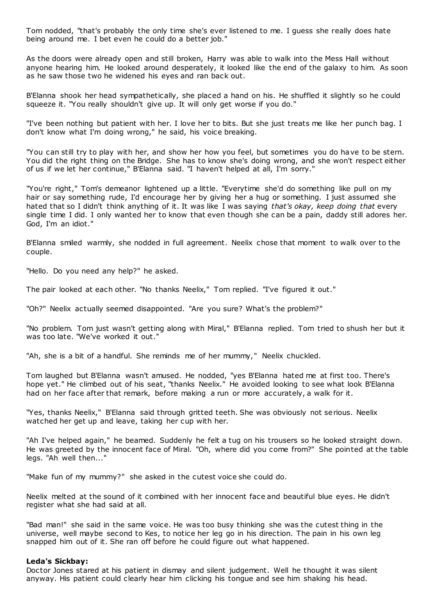Tom nodded, "that's probably the only time she's ever listened to me. I guess she really does hate being around me. I bet even he could do a better job."

As the doors were already open and still broken, Harry was able to walk into the Mess Hall without anyone hearing him. He looked around desperately, it looked like the end of the galaxy to him. As soon as he saw those two he widened his eyes and ran back out.

B'Elanna shook her head sympathetically, she placed a hand on his. He shuffled it slightly so he could squeeze it. "You really shouldn't give up. It will only get worse if you do."

"I've been nothing but patient with her. I love her to bits. But she just treats me like her punch bag. I don't know what I'm doing wrong," he said, his voice breaking.

"You can still try to play with her, and show her how you feel, but sometimes you do have to be stern. You did the right thing on the Bridge. She has to know she's doing wrong, and she won't respect either of us if we let her continue," B'Elanna said. "I haven't helped at all, I'm sorry."

"You're right," Tom's demeanor lightened up a little. "Everytime she'd do something like pull on my hair or say something rude, I'd encourage her by giving her a hug or something. I just assumed she hated that so I didn't think anything of it. It was like I was saying *that's okay, keep doing that* every single time I did. I only wanted her to know that even though she can be a pain, daddy still adores her. God, I'm an idiot."

B'Elanna smiled warmly, she nodded in full agreement. Neelix chose that moment to walk over to the couple.

"Hello. Do you need any help?" he asked.

The pair looked at each other. "No thanks Neelix," Tom replied. "I've figured it out."

"Oh?" Neelix actually seemed disappointed. "Are you sure? What's the problem?"

"No problem. Tom just wasn't getting along with Miral," B'Elanna replied. Tom tried to shush her but it was too late. "We've worked it out."

"Ah, she is a bit of a handful. She reminds me of her mummy," Neelix chuckled.

Tom laughed but B'Elanna wasn't amused. He nodded, "yes B'Elanna hated me at first too. There's hope yet." He climbed out of his seat, "thanks Neelix." He avoided looking to see what look B'Elanna had on her face after that remark, before making a run or more accurately, a walk for it.

"Yes, thanks Neelix," B'Elanna said through gritted teeth. She was obviously not serious. Neelix watched her get up and leave, taking her cup with her.

"Ah I've helped again," he beamed. Suddenly he felt a tug on his trousers so he looked straight down. He was greeted by the innocent face of Miral. "Oh, where did you come from?" She pointed at the table legs. "Ah well then..."

"Make fun of my mummy?" she asked in the cutest voice she could do.

Neelix melted at the sound of it combined with her innocent face and beautiful blue eyes. He didn't register what she had said at all.

"Bad man!" she said in the same voice. He was too busy thinking she was the cutest thing in the universe, well maybe second to Kes, to notice her leg go in his direction. The pain in his own leg snapped him out of it. She ran off before he could figure out what happened.

#### **Leda's Sickbay:**

Doctor Jones stared at his patient in dismay and silent judgement. Well he thought it was silent anyway. His patient could clearly hear him clicking his tongue and see him shaking his head.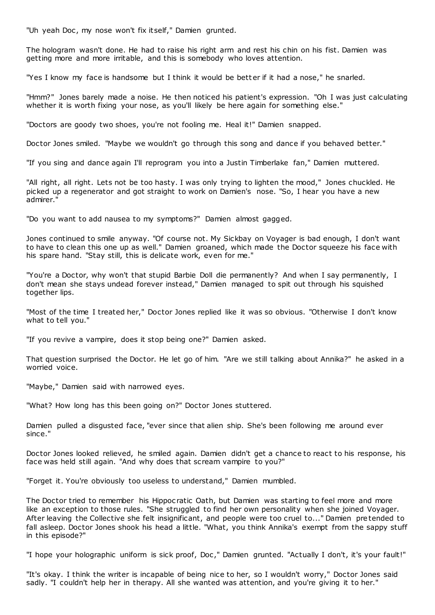"Uh yeah Doc, my nose won't fix itself," Damien grunted.

The hologram wasn't done. He had to raise his right arm and rest his chin on his fist. Damien was getting more and more irritable, and this is somebody who loves attention.

"Yes I know my face is handsome but I think it would be better if it had a nose," he snarled.

"Hmm?" Jones barely made a noise. He then noticed his patient's expression. "Oh I was just calculating whether it is worth fixing your nose, as you'll likely be here again for something else."

"Doctors are goody two shoes, you're not fooling me. Heal it!" Damien snapped.

Doctor Jones smiled. "Maybe we wouldn't go through this song and dance if you behaved better."

"If you sing and dance again I'll reprogram you into a Justin Timberlake fan," Damien muttered.

"All right, all right. Lets not be too hasty. I was only trying to lighten the mood," Jones chuckled. He picked up a regenerator and got straight to work on Damien's nose. "So, I hear you have a new admirer."

"Do you want to add nausea to my symptoms?" Damien almost gagged.

Jones continued to smile anyway. "Of course not. My Sickbay on Voyager is bad enough, I don't want to have to clean this one up as well." Damien groaned, which made the Doctor squeeze his face with his spare hand. "Stay still, this is delicate work, even for me."

"You're a Doctor, why won't that stupid Barbie Doll die permanently? And when I say permanently, I don't mean she stays undead forever instead," Damien managed to spit out through his squished together lips.

"Most of the time I treated her," Doctor Jones replied like it was so obvious. "Otherwise I don't know what to tell you."

"If you revive a vampire, does it stop being one?" Damien asked.

That question surprised the Doctor. He let go of him. "Are we still talking about Annika?" he asked in a worried voice.

"Maybe," Damien said with narrowed eyes.

"What? How long has this been going on?" Doctor Jones stuttered.

Damien pulled a disgusted face, "ever since that alien ship. She's been following me around ever since."

Doctor Jones looked relieved, he smiled again. Damien didn't get a chance to react to his response, his face was held still again. "And why does that scream vampire to you?"

"Forget it. You're obviously too useless to understand," Damien mumbled.

The Doctor tried to remember his Hippoc ratic Oath, but Damien was starting to feel more and more like an exception to those rules. "She struggled to find her own personality when she joined Voyager. After leaving the Collective she felt insignificant, and people were too cruel to..." Damien pretended to fall asleep. Doctor Jones shook his head a little. "What, you think Annika's exempt from the sappy stuff in this episode?"

"I hope your holographic uniform is sick proof, Doc ," Damien grunted. "Actually I don't, it's your fault!"

"It's okay. I think the writer is incapable of being nice to her, so I wouldn't worry," Doctor Jones said sadly. "I couldn't help her in therapy. All she wanted was attention, and you're giving it to her."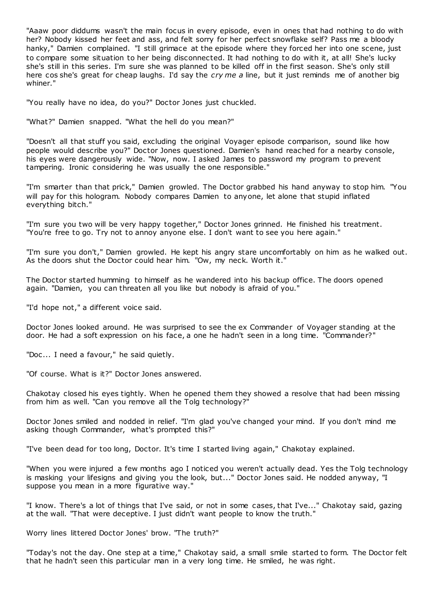"Aaaw poor diddums wasn't the main focus in every episode, even in ones that had nothing to do with her? Nobody kissed her feet and ass, and felt sorry for her perfect snowflake self? Pass me a bloody hanky," Damien complained. "I still grimace at the episode where they forced her into one scene, just to compare some situation to her being disconnected. It had nothing to do with it, at all! She's lucky she's still in this series. I'm sure she was planned to be killed off in the first season. She's only still here cos she's great for cheap laughs. I'd say the *cry me a* line, but it just reminds me of another big whiner."

"You really have no idea, do you?" Doctor Jones just chuckled.

"What?" Damien snapped. "What the hell do you mean?"

"Doesn't all that stuff you said, excluding the original Voyager episode comparison, sound like how people would describe you?" Doctor Jones questioned. Damien's hand reached for a nearby console, his eyes were dangerously wide. "Now, now. I asked James to password my program to prevent tampering. Ironic considering he was usually the one responsible."

"I'm smarter than that prick," Damien growled. The Doctor grabbed his hand anyway to stop him. "You will pay for this hologram. Nobody compares Damien to anyone, let alone that stupid inflated everything bitch."

"I'm sure you two will be very happy together," Doctor Jones grinned. He finished his treatment. "You're free to go. Try not to annoy anyone else. I don't want to see you here again."

"I'm sure you don't," Damien growled. He kept his angry stare uncomfortably on him as he walked out. As the doors shut the Doctor could hear him. "Ow, my neck. Worth it."

The Doctor started humming to himself as he wandered into his backup office. The doors opened again. "Damien, you can threaten all you like but nobody is afraid of you."

"I'd hope not," a different voice said.

Doctor Jones looked around. He was surprised to see the ex Commander of Voyager standing at the door. He had a soft expression on his face, a one he hadn't seen in a long time. "Commander?"

"Doc... I need a favour," he said quietly.

"Of course. What is it?" Doctor Jones answered.

Chakotay closed his eyes tightly. When he opened them they showed a resolve that had been missing from him as well. "Can you remove all the Tolg technology?"

Doctor Jones smiled and nodded in relief. "I'm glad you've changed your mind. If you don't mind me asking though Commander, what's prompted this?"

"I've been dead for too long, Doctor. It's time I started living again," Chakotay explained.

"When you were injured a few months ago I noticed you weren't actually dead. Yes the Tolg technology is masking your lifesigns and giving you the look, but..." Doctor Jones said. He nodded anyway, "I suppose you mean in a more figurative way."

"I know. There's a lot of things that I've said, or not in some cases, that I've..." Chakotay said, gazing at the wall. "That were deceptive. I just didn't want people to know the truth."

Worry lines littered Doctor Jones' brow. "The truth?"

"Today's not the day. One step at a time," Chakotay said, a small smile started to form. The Doctor felt that he hadn't seen this particular man in a very long time. He smiled, he was right.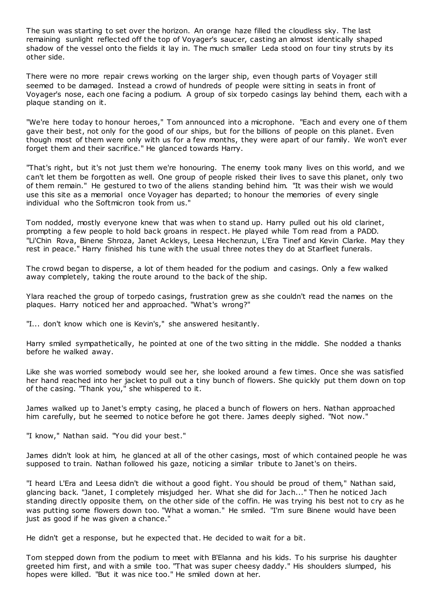The sun was starting to set over the horizon. An orange haze filled the cloudless sky. The last remaining sunlight reflected off the top of Voyager's saucer, casting an almost identically shaped shadow of the vessel onto the fields it lay in. The much smaller Leda stood on four tiny struts by its other side.

There were no more repair crews working on the larger ship, even though parts of Voyager still seemed to be damaged. Instead a crowd of hundreds of people were sitting in seats in front of Voyager's nose, each one facing a podium. A group of six torpedo casings lay behind them, each with a plaque standing on it.

"We're here today to honour heroes," Tom announced into a microphone. "Each and every one of them gave their best, not only for the good of our ships, but for the billions of people on this planet. Even though most of them were only with us for a few months, they were apart of our family. We won't ever forget them and their sacrifice." He glanced towards Harry.

"That's right, but it's not just them we're honouring. The enemy took many lives on this world, and we can't let them be forgotten as well. One group of people risked their lives to save this planet, only two of them remain." He gestured to two of the aliens standing behind him. "It was their wish we would use this site as a memorial once Voyager has departed; to honour the memories of every single individual who the Softmicron took from us."

Tom nodded, mostly everyone knew that was when to stand up. Harry pulled out his old clarinet, prompting a few people to hold back groans in respect. He played while Tom read from a PADD. "Li'Chin Rova, Binene Shroza, Janet Ackleys, Leesa Hechenzun, L'Era Tinef and Kevin Clarke. May they rest in peace." Harry finished his tune with the usual three notes they do at Starfleet funerals.

The crowd began to disperse, a lot of them headed for the podium and casings. Only a few walked away completely, taking the route around to the back of the ship.

Ylara reached the group of torpedo casings, frustration grew as she couldn't read the names on the plaques. Harry noticed her and approached. "What's wrong?"

"I... don't know which one is Kevin's," she answered hesitantly.

Harry smiled sympathetically, he pointed at one of the two sitting in the middle. She nodded a thanks before he walked away.

Like she was worried somebody would see her, she looked around a few times. Once she was satisfied her hand reached into her jacket to pull out a tiny bunch of flowers. She quickly put them down on top of the casing. "Thank you," she whispered to it.

James walked up to Janet's empty casing, he placed a bunch of flowers on hers. Nathan approached him carefully, but he seemed to notice before he got there. James deeply sighed. "Not now."

"I know," Nathan said. "You did your best."

James didn't look at him, he glanced at all of the other casings, most of which contained people he was supposed to train. Nathan followed his gaze, noticing a similar tribute to Janet's on theirs.

"I heard L'Era and Leesa didn't die without a good fight. You should be proud of them," Nathan said, glancing back. "Janet, I completely misjudged her. What she did for Jach..." Then he noticed Jach standing directly opposite them, on the other side of the coffin. He was trying his best not to cry as he was putting some flowers down too. "What a woman." He smiled. "I'm sure Binene would have been just as good if he was given a chance."

He didn't get a response, but he expected that. He decided to wait for a bit.

Tom stepped down from the podium to meet with B'Elanna and his kids. To his surprise his daughter greeted him first, and with a smile too. "That was super cheesy daddy." His shoulders slumped, his hopes were killed. "But it was nice too." He smiled down at her.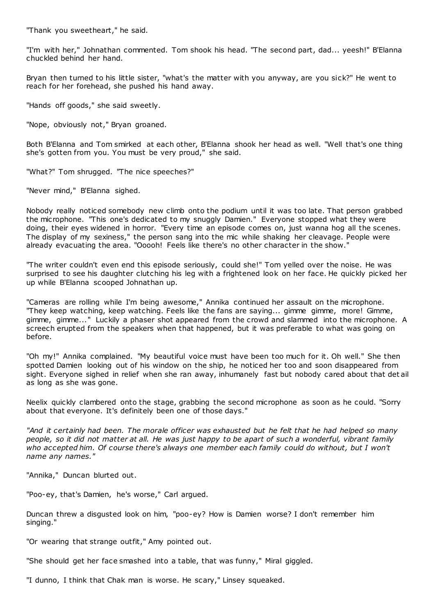"Thank you sweetheart," he said.

"I'm with her," Johnathan commented. Tom shook his head. "The second part, dad... yeesh!" B'Elanna chuckled behind her hand.

Bryan then turned to his little sister, "what's the matter with you anyway, are you sick?" He went to reach for her forehead, she pushed his hand away.

"Hands off goods," she said sweetly.

"Nope, obviously not," Bryan groaned.

Both B'Elanna and Tom smirked at each other, B'Elanna shook her head as well. "Well that's one thing she's gotten from you. You must be very proud," she said.

"What?" Tom shrugged. "The nice speeches?"

"Never mind," B'Elanna sighed.

Nobody really noticed somebody new climb onto the podium until it was too late. That person grabbed the microphone. "This one's dedicated to my snuggly Damien." Everyone stopped what they were doing, their eyes widened in horror. "Every time an episode comes on, just wanna hog all the scenes. The display of my sexiness," the person sang into the mic while shaking her cleavage. People were already evacuating the area. "Ooooh! Feels like there's no other character in the show."

"The writer couldn't even end this episode seriously, could she!" Tom yelled over the noise. He was surprised to see his daughter clutching his leg with a frightened look on her face. He quickly picked her up while B'Elanna scooped Johnathan up.

"Cameras are rolling while I'm being awesome," Annika continued her assault on the microphone. "They keep watching, keep watching. Feels like the fans are saying... gimme gimme, more! Gimme, gimme, gimme..." Luckily a phaser shot appeared from the crowd and slammed into the microphone. A screech erupted from the speakers when that happened, but it was preferable to what was going on before.

"Oh my!" Annika complained. "My beautiful voice must have been too much for it. Oh well." She then spotted Damien looking out of his window on the ship, he noticed her too and soon disappeared from sight. Everyone sighed in relief when she ran away, inhumanely fast but nobody cared about that det ail as long as she was gone.

Neelix quickly clambered onto the stage, grabbing the second microphone as soon as he could. "Sorry about that everyone. It's definitely been one of those days."

*"And it certainly had been. The morale officer was exhausted but he felt that he had helped so many people, so it did not matter at all. He was just happy to be apart of such a wonderful, vibrant family who accepted him. Of course there's always one member each family could do without, but I won't name any names."*

"Annika," Duncan blurted out.

"Poo-ey, that's Damien, he's worse," Carl argued.

Duncan threw a disgusted look on him, "poo-ey? How is Damien worse? I don't remember him singing."

"Or wearing that strange outfit," Amy pointed out.

"She should get her face smashed into a table, that was funny," Miral giggled.

"I dunno, I think that Chak man is worse. He scary," Linsey squeaked.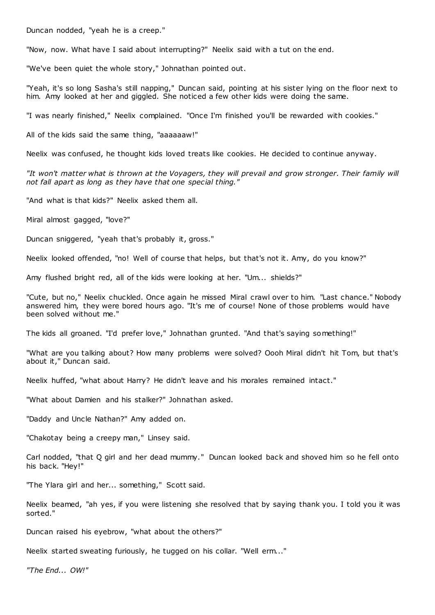Duncan nodded, "yeah he is a creep."

"Now, now. What have I said about interrupting?" Neelix said with a tut on the end.

"We've been quiet the whole story," Johnathan pointed out.

"Yeah, it's so long Sasha's still napping," Duncan said, pointing at his sister lying on the floor next to him. Amy looked at her and giggled. She noticed a few other kids were doing the same.

"I was nearly finished," Neelix complained. "Once I'm finished you'll be rewarded with cookies."

All of the kids said the same thing, "aaaaaaw!"

Neelix was confused, he thought kids loved treats like cookies. He decided to continue anyway.

*"It won't matter what is thrown at the Voyagers, they will prevail and grow stronger. Their family will not fall apart as long as they have that one special thing."*

"And what is that kids?" Neelix asked them all.

Miral almost gagged, "love?"

Duncan sniggered, "yeah that's probably it, gross."

Neelix looked offended, "no! Well of course that helps, but that's not it. Amy, do you know?"

Amy flushed bright red, all of the kids were looking at her. "Um... shields?"

"Cute, but no," Neelix chuckled. Once again he missed Miral crawl over to him. "Last chance." Nobody answered him, they were bored hours ago. "It's me of course! None of those problems would have been solved without me."

The kids all groaned. "I'd prefer love," Johnathan grunted. "And that's saying something!"

"What are you talking about? How many problems were solved? Oooh Miral didn't hit Tom, but that's about it," Duncan said.

Neelix huffed, "what about Harry? He didn't leave and his morales remained intact."

"What about Damien and his stalker?" Johnathan asked.

"Daddy and Uncle Nathan?" Amy added on.

"Chakotay being a creepy man," Linsey said.

Carl nodded, "that Q girl and her dead mummy." Duncan looked back and shoved him so he fell onto his back. "Hey!"

"The Ylara girl and her... something," Scott said.

Neelix beamed, "ah yes, if you were listening she resolved that by saying thank you. I told you it was sorted."

Duncan raised his eyebrow, "what about the others?"

Neelix started sweating furiously, he tugged on his collar. "Well erm..."

*"The End... OW!"*